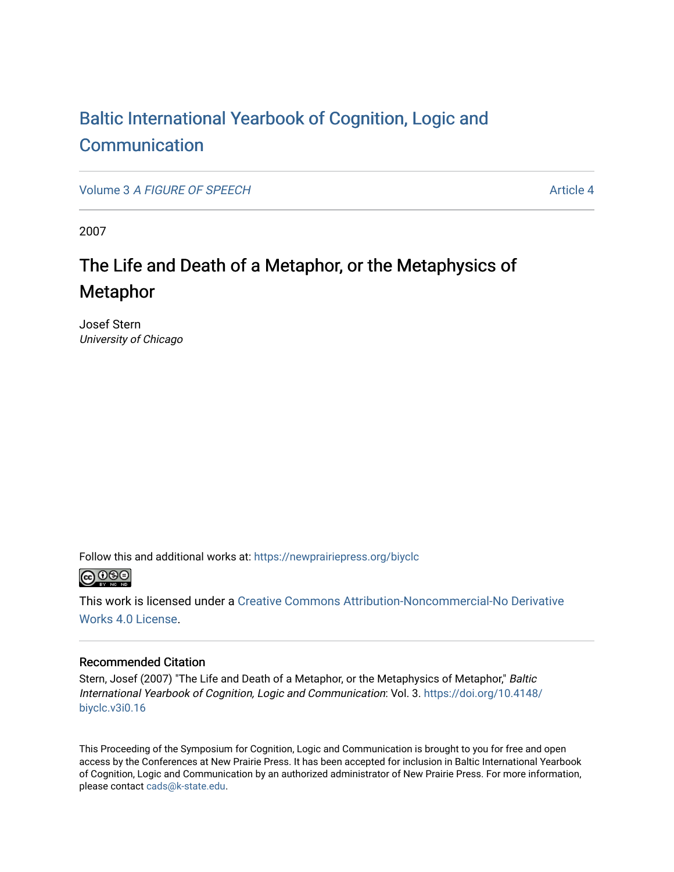# [Baltic International Yearbook of Cognition, Logic and](https://newprairiepress.org/biyclc)  **[Communication](https://newprairiepress.org/biyclc)**

Volume 3 [A FIGURE OF SPEECH](https://newprairiepress.org/biyclc/vol3) Article 4

2007

# The Life and Death of a Metaphor, or the Metaphysics of Metaphor

Josef Stern University of Chicago

Follow this and additional works at: [https://newprairiepress.org/biyclc](https://newprairiepress.org/biyclc?utm_source=newprairiepress.org%2Fbiyclc%2Fvol3%2Fiss1%2F4&utm_medium=PDF&utm_campaign=PDFCoverPages) 



This work is licensed under a [Creative Commons Attribution-Noncommercial-No Derivative](https://creativecommons.org/licenses/by-nc-nd/4.0/)  [Works 4.0 License](https://creativecommons.org/licenses/by-nc-nd/4.0/).

# Recommended Citation

Stern, Josef (2007) "The Life and Death of a Metaphor, or the Metaphysics of Metaphor," Baltic International Yearbook of Cognition, Logic and Communication: Vol. 3. [https://doi.org/10.4148/](https://doi.org/10.4148/biyclc.v3i0.16) [biyclc.v3i0.16](https://doi.org/10.4148/biyclc.v3i0.16) 

This Proceeding of the Symposium for Cognition, Logic and Communication is brought to you for free and open access by the Conferences at New Prairie Press. It has been accepted for inclusion in Baltic International Yearbook of Cognition, Logic and Communication by an authorized administrator of New Prairie Press. For more information, please contact [cads@k-state.edu.](mailto:cads@k-state.edu)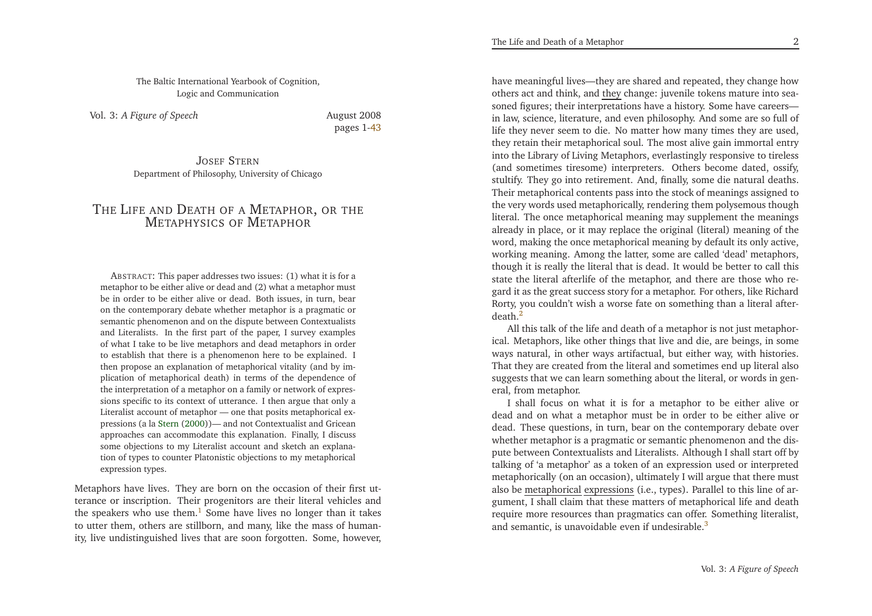The Baltic International Yearbook of Cognition, Logic and Communication

<span id="page-1-0"></span>Vol. 3: *<sup>A</sup> Figure of Speech*

<span id="page-1-1"></span> August <sup>2008</sup>pages 1[-43](#page-22-0)

Josef Stern Department of Philosophy, University of Chicago

# <span id="page-1-2"></span>THE LIFE AND DEATH OF A METAPHOR, OR THE Metaphysics of Metaphor

ABSTRACT: This paper addresses two issues: (1) what it is for <sup>a</sup> metaphor to be either alive or dead and (2) what <sup>a</sup> metaphor must be in order to be either alive or dead. Both issues, in turn, bear on the contemporary debate whether metaphor is <sup>a</sup> pragmatic or semantic <sup>p</sup>henomenon and on the dispute between Contextualists and Literalists. In the first par<sup>t</sup> of the paper, <sup>I</sup> survey examples of what <sup>I</sup> take to be live metaphors and dead metaphors in order to establish that there is <sup>a</sup> <sup>p</sup>henomenon here to be explained. <sup>I</sup> then propose an explanation of metaphorical vitality (and by im<sup>p</sup>lication of metaphorical death) in terms of the dependence of the interpretation of <sup>a</sup> metaphor on <sup>a</sup> family or network of expressions specific to its context of utterance. <sup>I</sup> then argue that only <sup>a</sup> Literalist account of metaphor — one that posits metaphorical expressions (a la [Stern](#page-22-1) [\(2000\)](#page-22-1))— and not Contextualist and Gricean approaches can accommodate this explanation. Finally, <sup>I</sup> discuss some objections to my Literalist account and sketch an explanation of types to counter Platonistic objections to my metaphoricalexpression types.

Metaphors have lives. They are born on the occasion of their first utterance or inscription. Their progenitors are their literal vehicles andthe speakers who use them.<sup>[1](#page-19-0)</sup> Some have lives no longer than it takes to utter them, others are stillborn, and many, like the mass of humanity, live undistinguished lives that are soon forgotten. Some, however,

have meaningful lives—they are shared and repeated, they change howothers act and think, and <u>they</u> change: juvenile tokens mature into seasoned figures; their interpretations have <sup>a</sup> history. Some have careers in law, science, literature, and even <sup>p</sup>hilosophy. And some are so full of life they never seem to die. No matter how many times they are used, they retain their metaphorical soul. The most alive gain immortal entry into the Library of Living Metaphors, everlastingly responsive to tireless (and sometimes tiresome) interpreters. Others become dated, ossify, stultify. They go into retirement. And, finally, some die natural deaths. Their metaphorical contents pass into the stock of meanings assigned to the very words used metaphorically, rendering them polysemous though literal. The once metaphorical meaning may supplement the meanings already in <sup>p</sup>lace, or it may replace the original (literal) meaning of the word, making the once metaphorical meaning by default its only active, working meaning. Among the latter, some are called 'dead' metaphors, though it is really the literal that is dead. It would be better to call this state the literal afterlife of the metaphor, and there are those who regard it as the grea<sup>t</sup> success story for <sup>a</sup> metaphor. For others, like Richard Rorty, you couldn't wish <sup>a</sup> worse fate on something than <sup>a</sup> literal afterdeath. $^2$  $^2$ 

All this talk of the life and death of <sup>a</sup> metaphor is not just metaphorical. Metaphors, like other things that live and die, are beings, in some ways natural, in other ways artifactual, but either way, with histories. That they are created from the literal and sometimes end up literal also suggests that we can learn something about the literal, or words in general, from metaphor.

<sup>I</sup> shall focus on what it is for <sup>a</sup> metaphor to be either alive or dead and on what <sup>a</sup> metaphor must be in order to be either alive or dead. These questions, in turn, bear on the contemporary debate over whether metaphor is <sup>a</sup> pragmatic or semantic <sup>p</sup>henomenon and the dispute between Contextualists and Literalists. Although <sup>I</sup> shall start off by talking of 'a metaphor' as <sup>a</sup> token of an expression used or interpreted metaphorically (on an occasion), ultimately <sup>I</sup> will argue that there mustalso be <u>metaphorical expressions</u> (i.e., types). Parallel to this line of argument, <sup>I</sup> shall claim that these matters of metaphorical life and death require more resources than pragmatics can offer. Something literalist, and semantic, is unavoidable even if undesirable.<sup>[3](#page-19-2)</sup>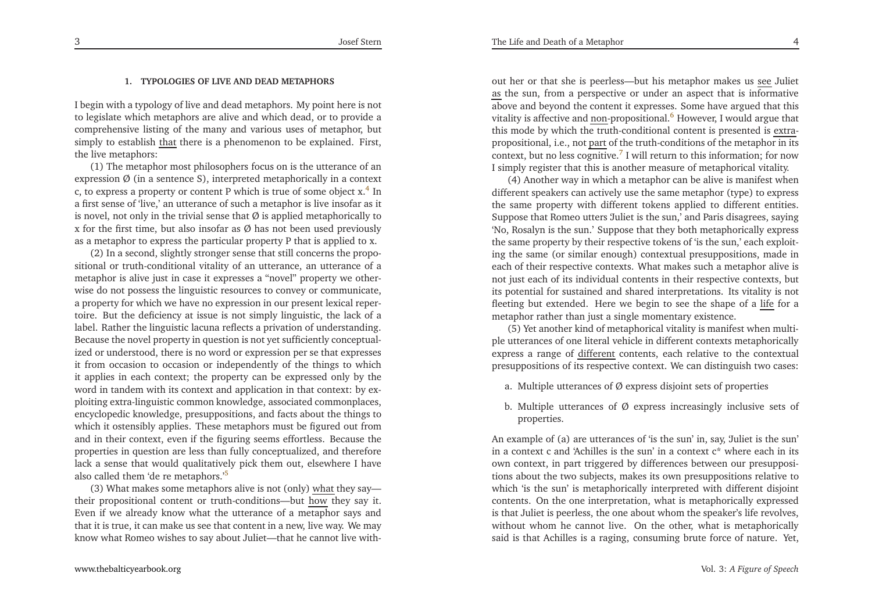## **1. TYPOLOGIES OF LIVE AND DEAD METAPHORS**

<sup>I</sup> begin with <sup>a</sup> typology of live and dead metaphors. My point here is not to legislate which metaphors are alive and which dead, or to provide <sup>a</sup> comprehensive listing of the many and various uses of metaphor, butsimply to establish that there is a phenomenon to be explained. First, the live metaphors:

<span id="page-2-1"></span> (1) The metaphor most <sup>p</sup>hilosophers focus on is the utterance of anexpression  $\emptyset$  (in a sentence S), interpreted metaphorically in a context c, to express a property or content P which is true of some object  $x^4$  $x^4$ . <sup>a</sup> first sense of 'live,' an utterance of such <sup>a</sup> metaphor is live insofar as it is novel, not only in the trivial sense that  $\emptyset$  is applied metaphorically to <sup>x</sup> for the first time, but also insofar as Ø has not been used previouslyas <sup>a</sup> metaphor to express the particular property <sup>P</sup> that is applied to x.

(2) In <sup>a</sup> second, slightly stronger sense that still concerns the propositional or truth-conditional vitality of an utterance, an utterance of <sup>a</sup> metaphor is alive just in case it expresses <sup>a</sup> "novel" property we otherwise do not possess the linguistic resources to convey or communicate, <sup>a</sup> property for which we have no expression in our presen<sup>t</sup> lexical repertoire. But the deficiency at issue is not simply linguistic, the lack of <sup>a</sup> label. Rather the linguistic lacuna reflects <sup>a</sup> privation of understanding. Because the novel property in question is not ye<sup>t</sup> sufficiently conceptualized or understood, there is no word or expression per se that expresses it from occasion to occasion or independently of the things to which it applies in each context; the property can be expressed only by the word in tandem with its context and application in that context: by ex<sup>p</sup>loiting extra-linguistic common knowledge, associated commonplaces, encyclopedic knowledge, presuppositions, and facts about the things to which it ostensibly applies. These metaphors must be figured out from and in their context, even if the figuring seems effortless. Because the properties in question are less than fully conceptualized, and therefore lack <sup>a</sup> sense that would qualitatively <sup>p</sup>ick them out, elsewhere <sup>I</sup> havealso called them 'de re metaphors.'[5](#page-19-4)

(3) What makes some metaphors alive is not (only) <u>what</u> they say their propositional content or truth-conditions—but <u>how</u> they say it. Even if we already know what the utterance of <sup>a</sup> metaphor says and that it is true, it can make us see that content in <sup>a</sup> new, live way. We mayknow what Romeo wishes to say about Juliet—that he cannot live with-

<span id="page-2-3"></span>out her or that she is peerless—but his metaphor makes us <u>see</u> Juliet as the sun, from <sup>a</sup> perspective or under an aspec<sup>t</sup> that is informative above and beyond the content it expresses. Some have argued that thisvitality is affective and <u>non</u>-propositional.<sup>[6](#page-19-5)</sup> However, I would argue that this mode by which the truth-conditional content is presented is <u>extra</u>propositional, i.e., not <u>part</u> of the truth-conditions of the metaphor in its context, but no less cognitive. $^7$  $^7$  I will return to this information; for now <sup>I</sup> simply register that this is another measure of metaphorical vitality.

<span id="page-2-2"></span>(4) Another way in which <sup>a</sup> metaphor can be alive is manifest when different speakers can actively use the same metaphor (type) to express the same property with different tokens applied to different entities. Suppose that Romeo utters 'Juliet is the sun,' and Paris disagrees, saying 'No, Rosalyn is the sun.' Suppose that they both metaphorically express the same property by their respective tokens of 'is the sun,' each exploiting the same (or similar enough) contextual presuppositions, made in each of their respective contexts. What makes such <sup>a</sup> metaphor alive is not just each of its individual contents in their respective contexts, but its potential for sustained and shared interpretations. Its vitality is notfleeting but extended. Here we begin to see the shape of a life for a metaphor rather than just <sup>a</sup> single momentary existence.

<span id="page-2-0"></span>(5) Yet another kind of metaphorical vitality is manifest when multi<sup>p</sup>le utterances of one literal vehicle in different contexts metaphoricallyexpress a range of <u>different</u> contents, each relative to the contextual presuppositions of its respective context. We can distinguish two cases:

- a. Multiple utterances of  $\varnothing$  express disjoint sets of properties
- b. Multiple utterances of Ø express increasingly inclusive sets of properties.

An example of (a) are utterances of 'is the sun' in, say, 'Juliet is the sun' in <sup>a</sup> context <sup>c</sup> and 'Achilles is the sun' in <sup>a</sup> context <sup>c</sup>\* where each in its own context, in par<sup>t</sup> triggered by differences between our presuppositions about the two subjects, makes its own presuppositions relative to which 'is the sun' is metaphorically interpreted with different disjoint contents. On the one interpretation, what is metaphorically expressed is that Juliet is peerless, the one about whom the speaker's life revolves, without whom he cannot live. On the other, what is metaphoricallysaid is that Achilles is <sup>a</sup> raging, consuming brute force of nature. Yet,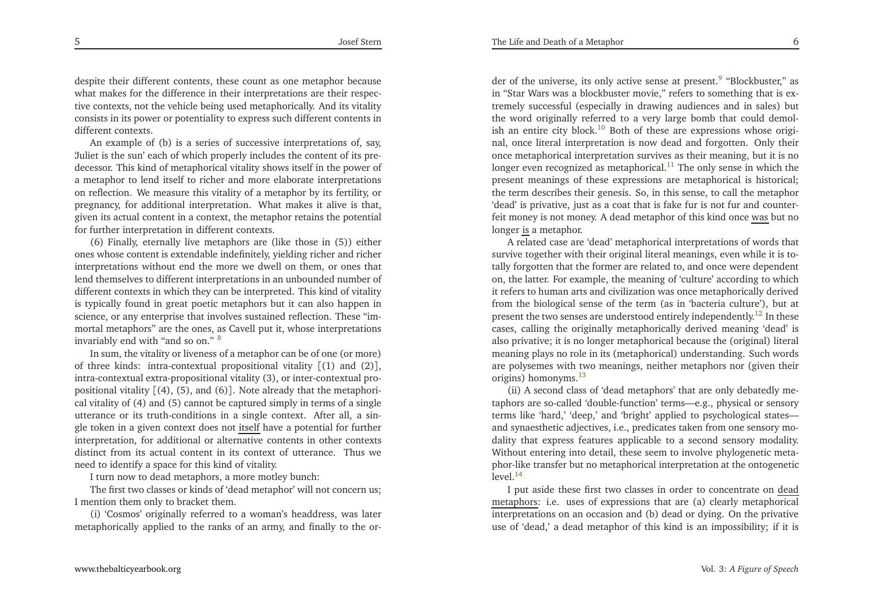<span id="page-3-6"></span><span id="page-3-5"></span>despite their different contents, these count as one metaphor because what makes for the difference in their interpretations are their respective contexts, not the vehicle being used metaphorically. And its vitality consists in its power or potentiality to express such different contents indifferent contexts.

<span id="page-3-0"></span>An example of (b) is <sup>a</sup> series of successive interpretations of, say, 'Juliet is the sun' each of which properly includes the content of its predecessor. This kind of metaphorical vitality shows itself in the power of <sup>a</sup> metaphor to lend itself to richer and more elaborate interpretations on reflection. We measure this vitality of <sup>a</sup> metaphor by its fertility, or pregnancy, for additional interpretation. What makes it alive is that, <sup>g</sup>iven its actual content in <sup>a</sup> context, the metaphor retains the potentialfor further interpretation in different contexts.

(6) Finally, eternally live metaphors are (like those in (5)) either ones whose content is extendable indefinitely, <sup>y</sup>ielding richer and richer interpretations without end the more we dwell on them, or ones that lend themselves to different interpretations in an unbounded number of different contexts in which they can be interpreted. This kind of vitality is typically found in grea<sup>t</sup> poetic metaphors but it can also happen in science, or any enterprise that involves sustained reflection. These "immortal metaphors" are the ones, as Cavell pu<sup>t</sup> it, whose interpretationsinvariably end with "and so on." [8](#page-19-7)

In sum, the vitality or liveness of <sup>a</sup> metaphor can be of one (or more) of three kinds: intra-contextual propositional vitality [(1) and (2)], intra-contextual extra-propositional vitality (3), or inter-contextual propositional vitality [(4), (5), and (6)]. Note already that the metaphorical vitality of (4) and (5) cannot be captured simply in terms of <sup>a</sup> single utterance or its truth-conditions in <sup>a</sup> single context. After all, <sup>a</sup> single token in a given context does not <u>itself</u> have a potential for further interpretation, for additional or alternative contents in other contexts distinct from its actual content in its context of utterance. Thus weneed to identify <sup>a</sup> space for this kind of vitality.

<sup>I</sup> turn now to dead metaphors, <sup>a</sup> more motley bunch:

 The first two classes or kinds of 'dead metaphor' will not concern us;<sup>I</sup> mention them only to bracket them.

(i) 'Cosmos' originally referred to <sup>a</sup> woman's headdress, was latermetaphorically applied to the ranks of an army, and finally to the or<span id="page-3-2"></span>der of the universe, its only active sense at present.<sup>[9](#page-19-8)</sup> "Blockbuster," as in "Star Wars was <sup>a</sup> blockbuster movie," refers to something that is extremely successful (especially in drawing audiences and in sales) but the word originally referred to <sup>a</sup> very large bomb that could demol-ish an entire city block.<sup>[10](#page-19-9)</sup> Both of these are expressions whose original, once literal interpretation is now dead and forgotten. Only their once metaphorical interpretation survives as their meaning, but it is nolonger even recognized as metaphorical.<sup>[11](#page-19-10)</sup> The only sense in which the presen<sup>t</sup> meanings of these expressions are metaphorical is historical; the term describes their genesis. So, in this sense, to call the metaphor 'dead' is privative, just as <sup>a</sup> coat that is fake fur is not fur and counterfeit money is not money. A dead metaphor of this kind once <u>was</u> but no longer <u>is</u> a metaphor.

<span id="page-3-4"></span><span id="page-3-3"></span><span id="page-3-1"></span><sup>A</sup> related case are 'dead' metaphorical interpretations of words that survive together with their original literal meanings, even while it is totally forgotten that the former are related to, and once were dependent on, the latter. For example, the meaning of 'culture' according to which it refers to human arts and civilization was once metaphorically derived from the biological sense of the term (as in 'bacteria culture'), but atpresent the two senses are understood entirely independently.<sup>[12](#page-19-11)</sup> In these cases, calling the originally metaphorically derived meaning 'dead' is also privative; it is no longer metaphorical because the (original) literal meaning <sup>p</sup>lays no role in its (metaphorical) understanding. Such words are polysemes with two meanings, neither metaphors nor (given theirorigins) homonyms.[13](#page-19-12)

(ii) <sup>A</sup> second class of 'dead metaphors' that are only debatedly metaphors are so-called 'double-function' terms—e.g., <sup>p</sup>hysical or sensory terms like 'hard,' 'deep,' and 'bright' applied to psychological states and synaesthetic adjectives, i.e., predicates taken from one sensory modality that express features applicable to <sup>a</sup> second sensory modality. Without entering into detail, these seem to involve <sup>p</sup>hylogenetic meta<sup>p</sup>hor-like transfer but no metaphorical interpretation at the ontogenetic $level<sup>14</sup>$  $level<sup>14</sup>$  $level<sup>14</sup>$ 

<sup>I</sup> pu<sup>t</sup> aside these first two classes in order to concentrate on dead metaphors: i.e. uses of expressions that are (a) clearly metaphorical interpretations on an occasion and (b) dead or dying. On the privativeuse of 'dead,' <sup>a</sup> dead metaphor of this kind is an impossibility; if it is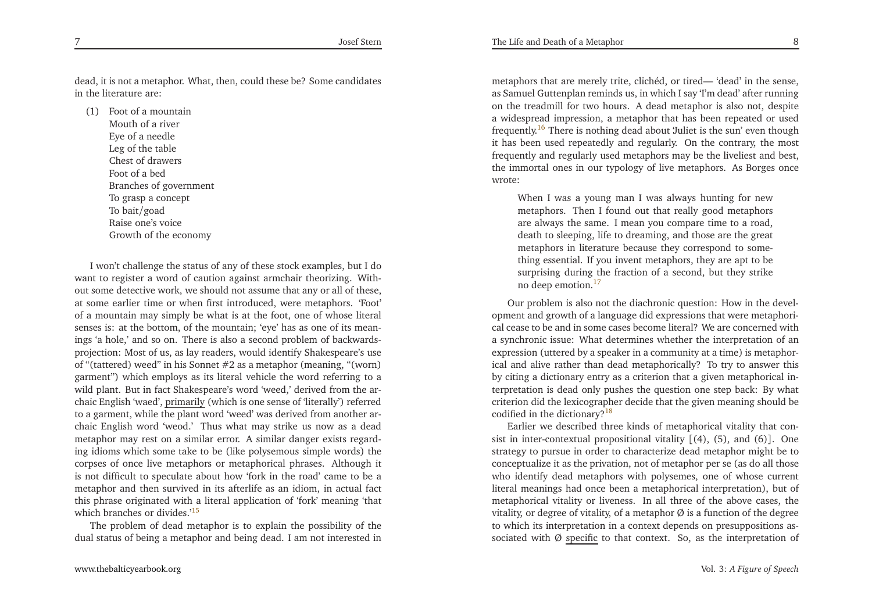dead, it is not <sup>a</sup> metaphor. What, then, could these be? Some candidatesin the literature are:

<span id="page-4-3"></span><span id="page-4-0"></span>(1) Foot of <sup>a</sup> mountainMouth of <sup>a</sup> river Eye of <sup>a</sup> needle Leg of the table Chest of drawersFoot of <sup>a</sup> bed Branches of governmen<sup>t</sup>To grasp <sup>a</sup> concep<sup>t</sup>To bait/goad Raise one's voiceGrowth of the economy

<sup>I</sup> won't challenge the status of any of these stock examples, but <sup>I</sup> do want to register <sup>a</sup> word of caution against armchair theorizing. Without some detective work, we should not assume that any or all of these, at some earlier time or when first introduced, were metaphors. 'Foot' of <sup>a</sup> mountain may simply be what is at the foot, one of whose literal senses is: at the bottom, of the mountain; 'eye' has as one of its meanings 'a hole,' and so on. There is also <sup>a</sup> second problem of backwardsprojection: Most of us, as lay readers, would identify Shakespeare's use of "(tattered) weed" in his Sonnet #2 as <sup>a</sup> metaphor (meaning, "(worn) garmen<sup>t</sup>") which employs as its literal vehicle the word referring to <sup>a</sup> wild <sup>p</sup>lant. But in fact Shakespeare's word 'weed,' derived from the archaic English 'waed', primarily (which is one sense of 'literally') referred to <sup>a</sup> garment, while the <sup>p</sup>lant word 'weed' was derived from another archaic English word 'weod.' Thus what may strike us now as <sup>a</sup> dead metaphor may rest on <sup>a</sup> similar error. <sup>A</sup> similar danger exists regarding idioms which some take to be (like polysemous simple words) the corpses of once live metaphors or metaphorical <sup>p</sup>hrases. Although it is not difficult to speculate about how 'fork in the road' came to be <sup>a</sup> metaphor and then survived in its afterlife as an idiom, in actual fact this <sup>p</sup>hrase originated with <sup>a</sup> literal application of 'fork' meaning 'thatwhich branches or divides.<sup>'[15](#page-19-14)</sup>

The problem of dead metaphor is to explain the possibility of thedual status of being <sup>a</sup> metaphor and being dead. <sup>I</sup> am not interested in

<span id="page-4-2"></span><span id="page-4-1"></span>metaphors that are merely trite, clichéd, or tired— 'dead' in the sense, as Samuel Guttenplan reminds us, in which <sup>I</sup> say 'I'm dead' after running on the treadmill for two hours. <sup>A</sup> dead metaphor is also not, despite <sup>a</sup> widespread impression, <sup>a</sup> metaphor that has been repeated or usedfrequently.<sup>[16](#page-19-15)</sup> There is nothing dead about 'Juliet is the sun' even though it has been used repeatedly and regularly. On the contrary, the most frequently and regularly used metaphors may be the liveliest and best, the immortal ones in our typology of live metaphors. As Borges oncewrote:

When <sup>I</sup> was <sup>a</sup> young man <sup>I</sup> was always hunting for new metaphors. Then <sup>I</sup> found out that really good metaphors are always the same. <sup>I</sup> mean you compare time to <sup>a</sup> road, death to sleeping, life to dreaming, and those are the grea<sup>t</sup> metaphors in literature because they correspond to something essential. If you invent metaphors, they are ap<sup>t</sup> to be surprising during the fraction of <sup>a</sup> second, but they strikeno deep emotion.<sup>[17](#page-19-16)</sup>

Our problem is also not the diachronic question: How in the developmen<sup>t</sup> and growth of <sup>a</sup> language did expressions that were metaphorical cease to be and in some cases become literal? We are concerned with <sup>a</sup> synchronic issue: What determines whether the interpretation of an expression (uttered by <sup>a</sup> speaker in <sup>a</sup> community at <sup>a</sup> time) is metaphorical and alive rather than dead metaphorically? To try to answer this by citing <sup>a</sup> dictionary entry as <sup>a</sup> criterion that <sup>a</sup> <sup>g</sup>iven metaphorical interpretation is dead only pushes the question one step back: By what criterion did the lexicographer decide that the <sup>g</sup>iven meaning should becodified in the dictionary?<sup>[18](#page-19-17)</sup>

Earlier we described three kinds of metaphorical vitality that consist in inter-contextual propositional vitality [(4), (5), and (6)]. One strategy to pursue in order to characterize dead metaphor might be to conceptualize it as the privation, not of metaphor per se (as do all those who identify dead metaphors with polysemes, one of whose current literal meanings had once been <sup>a</sup> metaphorical interpretation), but of metaphorical vitality or liveness. In all three of the above cases, the vitality, or degree of vitality, of a metaphor  $\varnothing$  is a function of the degree to which its interpretation in <sup>a</sup> context depends on presuppositions associated with Ø <u>specific</u> to that context. So, as the interpretation of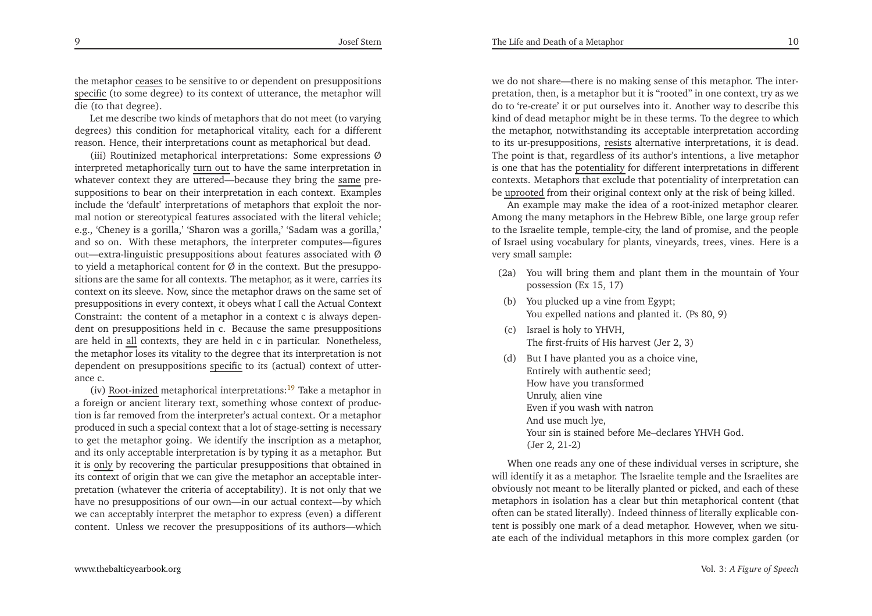the metaphor <u>ceases</u> to be sensitive to or dependent on presuppositions specific (to some degree) to its context of utterance, the metaphor will die (to that degree).

Let me describe two kinds of metaphors that do not meet (to varying degrees) this condition for metaphorical vitality, each for <sup>a</sup> differentreason. Hence, their interpretations count as metaphorical but dead.

<span id="page-5-0"></span>(iii) Routinized metaphorical interpretations: Some expressions Øinterpreted metaphorically <u>turn out</u> to have the same interpretation in whatever context they are uttered—because they bring the <u>same</u> presuppositions to bear on their interpretation in each context. Examples include the 'default' interpretations of metaphors that exploit the normal notion or stereotypical features associated with the literal vehicle; e.g., 'Cheney is <sup>a</sup> gorilla,' 'Sharon was <sup>a</sup> gorilla,' 'Sadam was <sup>a</sup> gorilla,' and so on. With these metaphors, the interpreter computes—figuresout—extra-linguistic presuppositions about features associated with  $\varnothing$ to yield a metaphorical content for  $\varnothing$  in the context. But the presuppositions are the same for all contexts. The metaphor, as it were, carries its context on its sleeve. Now, since the metaphor draws on the same set of presuppositions in every context, it obeys what <sup>I</sup> call the Actual Context Constraint: the content of <sup>a</sup> metaphor in <sup>a</sup> context <sup>c</sup> is always dependent on presuppositions held in c. Because the same presuppositionsare held in all contexts, they are held in c in particular. Nonetheless, the metaphor loses its vitality to the degree that its interpretation is notdependent on presuppositions specific to its (actual) context of utterance c.

(iv) <u>Root-inized</u> metaphorical interpretations:<sup>[19](#page-19-18)</sup> Take a metaphor in <sup>a</sup> foreign or ancient literary text, something whose context of production is far removed from the interpreter's actual context. Or <sup>a</sup> metaphor produced in such <sup>a</sup> special context that <sup>a</sup> lot of stage-setting is necessary to ge<sup>t</sup> the metaphor going. We identify the inscription as <sup>a</sup> metaphor, and its only acceptable interpretation is by typing it as <sup>a</sup> metaphor. Butit is only by recovering the particular presuppositions that obtained in its context of origin that we can <sup>g</sup>ive the metaphor an acceptable interpretation (whatever the criteria of acceptability). It is not only that we have no presuppositions of our own—in our actual context—by which we can acceptably interpret the metaphor to express (even) <sup>a</sup> different content. Unless we recover the presuppositions of its authors—which

we do not share—there is no making sense of this metaphor. The interpretation, then, is <sup>a</sup> metaphor but it is "rooted" in one context, try as we do to 're-create' it or pu<sup>t</sup> ourselves into it. Another way to describe this kind of dead metaphor might be in these terms. To the degree to which the metaphor, notwithstanding its acceptable interpretation accordingto its ur-presuppositions, <u>resists</u> alternative interpretations, it is dead. The point is that, regardless of its author's intentions, <sup>a</sup> live metaphor is one that has the potentiality for different interpretations in different contexts. Metaphors that exclude that potentiality of interpretation canbe <u>uprooted</u> from their original context only at the risk of being killed.

An example may make the idea of <sup>a</sup> root-inized metaphor clearer. Among the many metaphors in the Hebrew Bible, one large group refer to the Israelite temple, temple-city, the land of promise, and the people of Israel using vocabulary for <sup>p</sup>lants, vineyards, trees, vines. Here is <sup>a</sup>very small sample:

- (2a) You will bring them and <sup>p</sup>lant them in the mountain of Yourpossession (Ex 15, 17)
- (b) You <sup>p</sup>lucked up <sup>a</sup> vine from Egypt;You expelled nations and <sup>p</sup>lanted it. (Ps 80, 9)
- (c) Israel is holy to YHVH, The first-fruits of His harvest (Jer 2, 3)
- (d) But <sup>I</sup> have <sup>p</sup>lanted you as <sup>a</sup> choice vine, Entirely with authentic seed;How have you transformedUnruly, alien vine Even if you wash with natronAnd use much lye, Your sin is stained before Me–declares YHVH God. (Jer 2, 21-2)

When one reads any one of these individual verses in scripture, she will identify it as <sup>a</sup> metaphor. The Israelite temple and the Israelites are obviously not meant to be literally <sup>p</sup>lanted or <sup>p</sup>icked, and each of these metaphors in isolation has <sup>a</sup> clear but thin metaphorical content (that often can be stated literally). Indeed thinness of literally explicable content is possibly one mark of <sup>a</sup> dead metaphor. However, when we situate each of the individual metaphors in this more complex garden (or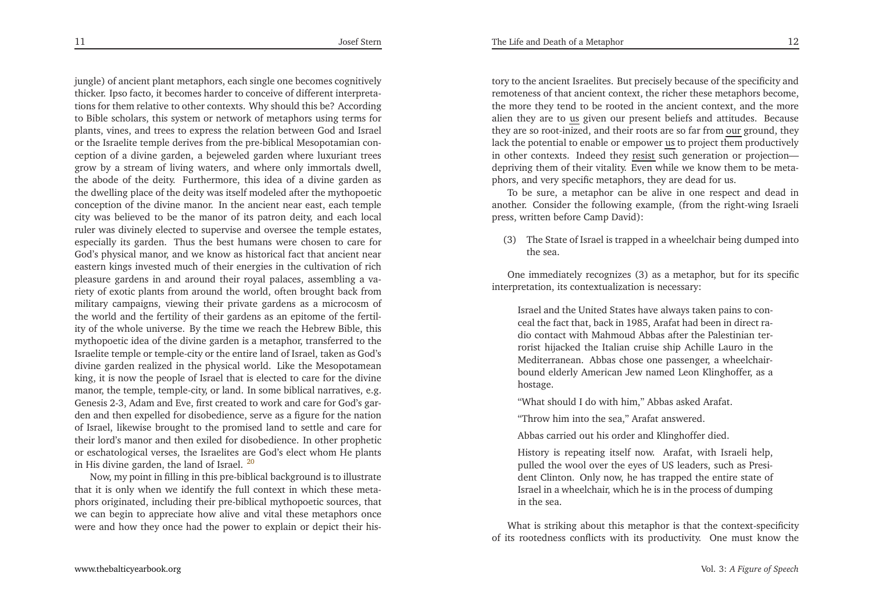The Life and Death of <sup>a</sup> Metaphor

<span id="page-6-0"></span>jungle) of ancient <sup>p</sup>lant metaphors, each single one becomes cognitively thicker. Ipso facto, it becomes harder to conceive of different interpretations for them relative to other contexts. Why should this be? According to Bible scholars, this system or network of metaphors using terms for <sup>p</sup>lants, vines, and trees to express the relation between God and Israel or the Israelite temple derives from the pre-biblical Mesopotamian conception of <sup>a</sup> divine garden, <sup>a</sup> bejeweled garden where luxuriant trees grow by <sup>a</sup> stream of living waters, and where only immortals dwell, the abode of the deity. Furthermore, this idea of <sup>a</sup> divine garden as the dwelling <sup>p</sup>lace of the deity was itself modeled after the mythopoetic conception of the divine manor. In the ancient near east, each temple city was believed to be the manor of its patron deity, and each local ruler was divinely elected to supervise and oversee the temple estates, especially its garden. Thus the best humans were chosen to care for God's <sup>p</sup>hysical manor, and we know as historical fact that ancient near eastern kings invested much of their energies in the cultivation of rich <sup>p</sup>leasure gardens in and around their royal palaces, assembling <sup>a</sup> variety of exotic <sup>p</sup>lants from around the world, often brought back from military campaigns, viewing their private gardens as <sup>a</sup> microcosm of the world and the fertility of their gardens as an epitome of the fertility of the whole universe. By the time we reach the Hebrew Bible, this mythopoetic idea of the divine garden is <sup>a</sup> metaphor, transferred to the Israelite temple or temple-city or the entire land of Israel, taken as God's divine garden realized in the <sup>p</sup>hysical world. Like the Mesopotamean king, it is now the people of Israel that is elected to care for the divine manor, the temple, temple-city, or land. In some biblical narratives, e.g. Genesis 2-3, Adam and Eve, first created to work and care for God's garden and then expelled for disobedience, serve as <sup>a</sup> figure for the nation of Israel, likewise brought to the promised land to settle and care for their lord's manor and then exiled for disobedience. In other prophetic or eschatological verses, the Israelites are God's elect whom He <sup>p</sup>lantsin His divine garden, the land of Israel. [20](#page-19-19)

Now, my point in filling in this pre-biblical background is to illustrate that it is only when we identify the full context in which these meta<sup>p</sup>hors originated, including their pre-biblical mythopoetic sources, that we can begin to appreciate how alive and vital these metaphors oncewere and how they once had the power to explain or depict their his-

tory to the ancient Israelites. But precisely because of the specificity and remoteness of that ancient context, the richer these metaphors become, the more they tend to be rooted in the ancient context, and the more alien they are to <u>us</u> given our present beliefs and attitudes. Because they are so root-inized, and their roots are so far from <u>our</u> ground, they<br>leak the petertial to enable are mnovier us to project them productively lack the potential to enable or empower <u>us</u> to project them productively in other contexts. Indeed they **resist** such generation or projection depriving them of their vitality. Even while we know them to be meta<sup>p</sup>hors, and very specific metaphors, they are dead for us.

To be sure, <sup>a</sup> metaphor can be alive in one respec<sup>t</sup> and dead in another. Consider the following example, (from the right-wing Israelipress, written before Camp David):

(3) The State of Israel is trapped in <sup>a</sup> wheelchair being dumped intothe sea.

One immediately recognizes (3) as <sup>a</sup> metaphor, but for its specificinterpretation, its contextualization is necessary:

Israel and the United States have always taken pains to conceal the fact that, back in 1985, Arafat had been in direct radio contact with Mahmoud Abbas after the Palestinian terrorist hijacked the Italian cruise ship Achille Lauro in the Mediterranean. Abbas chose one passenger, <sup>a</sup> wheelchairbound elderly American Jew named Leon Klinghoffer, as <sup>a</sup>hostage.

"What should <sup>I</sup> do with him," Abbas asked Arafat.

"Throw him into the sea," Arafat answered.

Abbas carried out his order and Klinghoffer died.

History is repeating itself now. Arafat, with Israeli help, pulled the wool over the eyes of US leaders, such as President Clinton. Only now, he has trapped the entire state of Israel in <sup>a</sup> wheelchair, which he is in the process of dumpingin the sea.

What is striking about this metaphor is that the context-specificityof its rootedness conflicts with its productivity. One must know the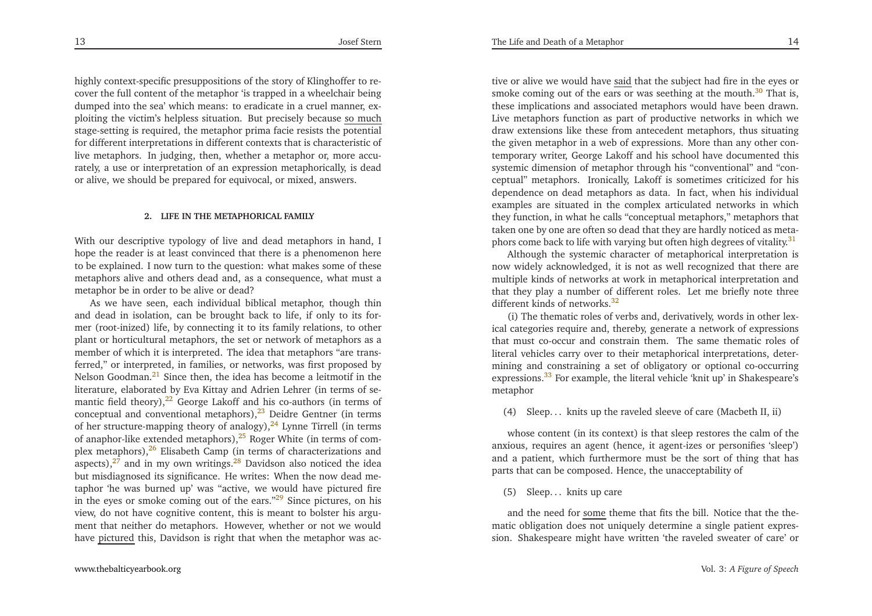<span id="page-7-12"></span><span id="page-7-6"></span><span id="page-7-5"></span>highly context-specific presuppositions of the story of Klinghoffer to recover the full content of the metaphor 'is trapped in <sup>a</sup> wheelchair being dumped into the sea' which means: to eradicate in <sup>a</sup> cruel manner, exploiting the victim's helpless situation. But precisely because <u>so much</u> stage-setting is required, the metaphor prima facie resists the potential for different interpretations in different contexts that is characteristic of live metaphors. In judging, then, whether <sup>a</sup> metaphor or, more accurately, <sup>a</sup> use or interpretation of an expression metaphorically, is deador alive, we should be prepared for equivocal, or mixed, answers.

#### <span id="page-7-8"></span><span id="page-7-7"></span><span id="page-7-4"></span><span id="page-7-3"></span><span id="page-7-2"></span><span id="page-7-1"></span><span id="page-7-0"></span>**2. LIFE IN THE METAPHORICAL FAMILY**

With our descriptive typology of live and dead metaphors in hand, <sup>I</sup> hope the reader is at least convinced that there is <sup>a</sup> <sup>p</sup>henomenon here to be explained. <sup>I</sup> now turn to the question: what makes some of these metaphors alive and others dead and, as <sup>a</sup> consequence, what must <sup>a</sup>metaphor be in order to be alive or dead?

 As we have seen, each individual biblical metaphor, though thin and dead in isolation, can be brought back to life, if only to its former (root-inized) life, by connecting it to its family relations, to other <sup>p</sup>lant or horticultural metaphors, the set or network of metaphors as <sup>a</sup> member of which it is interpreted. The idea that metaphors "are transferred," or interpreted, in families, or networks, was first proposed byNelson Goodman.<sup>[21](#page-19-20)</sup> Since then, the idea has become a leitmotif in the literature, elaborated by Eva Kittay and Adrien Lehrer (in terms of semantic field theory), $22$  George Lakoff and his co-authors (in terms of conceptual and conventional metaphors),<sup>[23](#page-20-0)</sup> Deidre Gentner (in terms of her structure-mapping theory of analogy), $^{24}$  $^{24}$  $^{24}$  Lynne Tirrell (in terms of anaphor-like extended metaphors),<sup>[25](#page-20-2)</sup> Roger White (in terms of complex metaphors), $26$  Elisabeth Camp (in terms of characterizations and aspects),<sup>[27](#page-20-4)</sup> and in my own writings.<sup>[28](#page-20-5)</sup> Davidson also noticed the idea but misdiagnosed its significance. He writes: When the now dead metaphor 'he was burned up' was "active, we would have <sup>p</sup>ictured fire in the eyes or smoke coming out of the ears. $129$  $129$  Since pictures, on his view, do not have cognitive content, this is meant to bolster his argument that neither do metaphors. However, whether or not we wouldhave <u>pictured</u> this, Davidson is right that when the metaphor was ac-

<span id="page-7-11"></span>tive or alive we would have <u>said</u> that the subject had fire in the eyes or smoke coming out of the ears or was seething at the mouth.<sup>[30](#page-20-7)</sup> That is, these implications and associated metaphors would have been drawn. Live metaphors function as par<sup>t</sup> of productive networks in which we draw extensions like these from antecedent metaphors, thus situating the <sup>g</sup>iven metaphor in <sup>a</sup> web of expressions. More than any other contemporary writer, George Lakoff and his school have documented this systemic dimension of metaphor through his "conventional" and "conceptual" metaphors. Ironically, Lakoff is sometimes criticized for his dependence on dead metaphors as data. In fact, when his individual examples are situated in the complex articulated networks in which they function, in what he calls "conceptual metaphors," metaphors that taken one by one are often so dead that they are hardly noticed as meta-phors come back to life with varying but often high degrees of vitality.<sup>[31](#page-20-8)</sup>

<span id="page-7-9"></span>Although the systemic character of metaphorical interpretation is now widely acknowledged, it is not as well recognized that there are multiple kinds of networks at work in metaphorical interpretation and that they <sup>p</sup>lay <sup>a</sup> number of different roles. Let me briefly note three different kinds of networks. $32$ 

<span id="page-7-10"></span>(i) The thematic roles of verbs and, derivatively, words in other lexical categories require and, thereby, generate <sup>a</sup> network of expressions that must co-occur and constrain them. The same thematic roles of literal vehicles carry over to their metaphorical interpretations, determining and constraining <sup>a</sup> set of obligatory or optional co-occurringexpressions.<sup>[33](#page-20-10)</sup> For example, the literal vehicle 'knit up' in Shakespeare's metaphor

(4) Sleep. . . knits up the raveled sleeve of care (Macbeth II, ii)

whose content (in its context) is that sleep restores the calm of the anxious, requires an agen<sup>t</sup> (hence, it agent-izes or personifies 'sleep') and <sup>a</sup> patient, which furthermore must be the sort of thing that hasparts that can be composed. Hence, the unacceptability of

(5) Sleep. . . knits up care

and the need for <u>some</u> theme that fits the bill. Notice that the thematic obligation does not uniquely determine <sup>a</sup> single patient expression. Shakespeare might have written 'the raveled sweater of care' or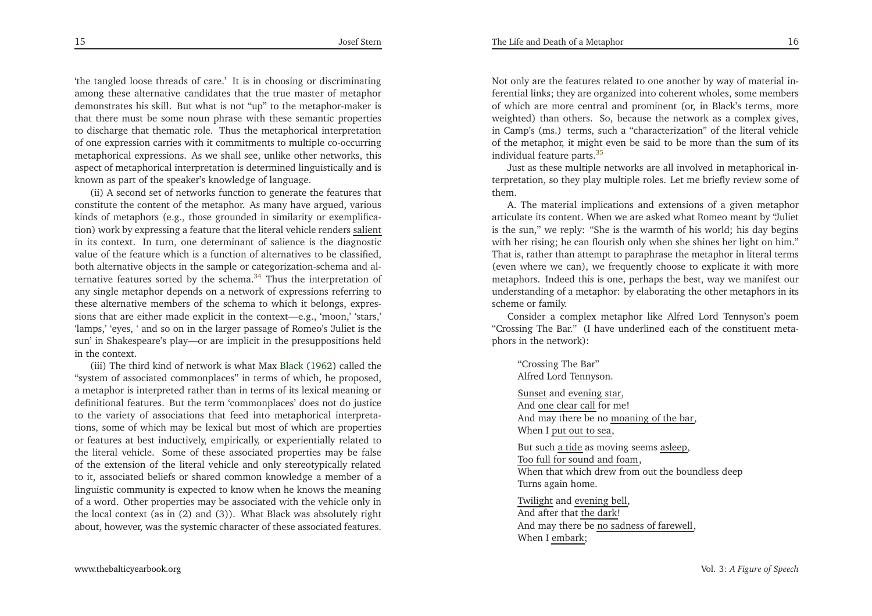'the tangled loose threads of care.' It is in choosing or discriminating among these alternative candidates that the true master of metaphor demonstrates his skill. But what is not "up" to the metaphor-maker is that there must be some noun <sup>p</sup>hrase with these semantic properties to discharge that thematic role. Thus the metaphorical interpretation of one expression carries with it commitments to multiple co-occurring metaphorical expressions. As we shall see, unlike other networks, this aspec<sup>t</sup> of metaphorical interpretation is determined linguistically and isknown as par<sup>t</sup> of the speaker's knowledge of language.

(ii) <sup>A</sup> second set of networks function to generate the features that constitute the content of the metaphor. As many have argued, various kinds of metaphors (e.g., those grounded in similarity or exemplification) work by expressing a feature that the literal vehicle renders <u>salient</u> in its context. In turn, one determinant of salience is the diagnostic value of the feature which is <sup>a</sup> function of alternatives to be classified, both alternative objects in the sample or categorization-schema and alternative features sorted by the schema. $34$  Thus the interpretation of any single metaphor depends on <sup>a</sup> network of expressions referring to these alternative members of the schema to which it belongs, expressions that are either made explicit in the context—e.g., 'moon,' 'stars,' 'lamps,' 'eyes, ' and so on in the larger passage of Romeo's 'Juliet is the sun' in Shakespeare's <sup>p</sup>lay—or are implicit in the presuppositions heldin the context.

(iii) The third kind of network is what Max [Black](#page-21-0) [\(1962](#page-21-0)) called the "system of associated commonplaces" in terms of which, he proposed, <sup>a</sup> metaphor is interpreted rather than in terms of its lexical meaning or definitional features. But the term 'commonplaces' does not do justice to the variety of associations that feed into metaphorical interpretations, some of which may be lexical but most of which are properties or features at best inductively, empirically, or experientially related to the literal vehicle. Some of these associated properties may be false of the extension of the literal vehicle and only stereotypically related to it, associated beliefs or shared common knowledge <sup>a</sup> member of <sup>a</sup> linguistic community is expected to know when he knows the meaning of <sup>a</sup> word. Other properties may be associated with the vehicle only in the local context (as in (2) and (3)). What Black was absolutely rightabout, however, was the systemic character of these associated features.

<span id="page-8-1"></span>Not only are the features related to one another by way of material inferential links; they are organized into coherent wholes, some members of which are more central and prominent (or, in Black's terms, more weighted) than others. So, because the network as <sup>a</sup> complex <sup>g</sup>ives, in Camp's (ms.) terms, such <sup>a</sup> "characterization" of the literal vehicle of the metaphor, it might even be said to be more than the sum of itsindividual feature parts.[35](#page-20-12)

<span id="page-8-0"></span>Just as these multiple networks are all involved in metaphorical interpretation, so they <sup>p</sup>lay multiple roles. Let me briefly review some ofthem.

 A. The material implications and extensions of <sup>a</sup> <sup>g</sup>iven metaphor articulate its content. When we are asked what Romeo meant by "Juliet is the sun," we reply: "She is the warmth of his world; his day begins with her rising; he can flourish only when she shines her light on him." That is, rather than attempt to paraphrase the metaphor in literal terms (even where we can), we frequently choose to explicate it with more metaphors. Indeed this is one, perhaps the best, way we manifest our understanding of <sup>a</sup> metaphor: by elaborating the other metaphors in itsscheme or family.

Consider <sup>a</sup> complex metaphor like Alfred Lord Tennyson's poem "Crossing The Bar." (I have underlined each of the constituent meta<sup>p</sup>hors in the network):

"Crossing The Bar"Alfred Lord Tennyson.

Sunset and <u>evening star</u>, And <u>one clear call</u> for me! And may there be no <u>moaning of the bar</u>, When I <u>put out to sea</u>,

But such <u>a tide</u> as moving seems <u>asleep</u>, Too full for sound and foam, When that which drew from out the boundless deepTurns again home.

Twilight and evening bell, And after that <u>the dark</u>! And may there be <u>no sadness of farewell</u>, When I <u>embark</u>;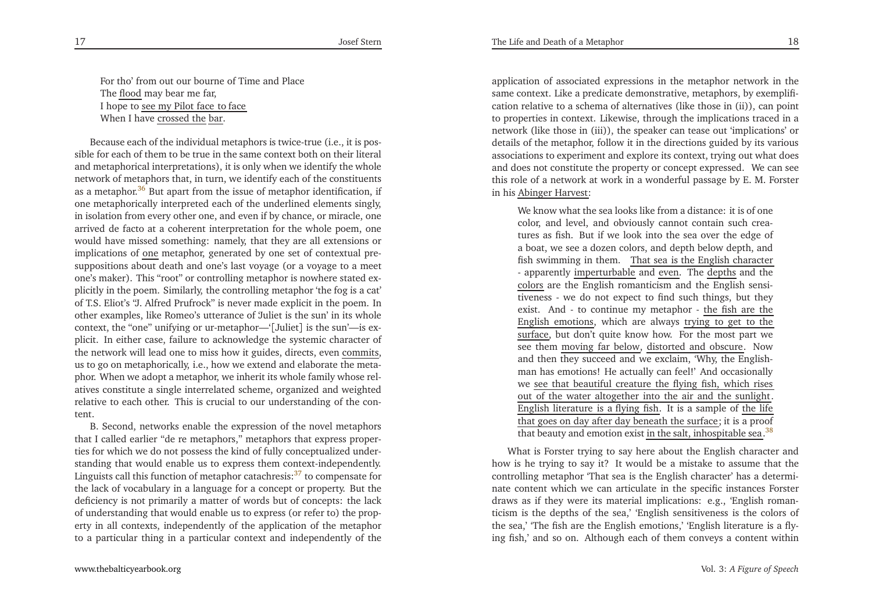For tho' from out our bourne of Time and PlaceThe <u>flood</u> may bear me far, I hope to <u>see my Pilot face to face</u> When I have <u>crossed the bar</u>.

<span id="page-9-2"></span><span id="page-9-1"></span>Because each of the individual metaphors is twice-true (i.e., it is possible for each of them to be true in the same context both on their literal and metaphorical interpretations), it is only when we identify the whole network of metaphors that, in turn, we identify each of the constituentsas a metaphor.<sup>[36](#page-20-13)</sup> But apart from the issue of metaphor identification, if one metaphorically interpreted each of the underlined elements singly, in isolation from every other one, and even if by chance, or miracle, one arrived de facto at <sup>a</sup> coherent interpretation for the whole poem, one would have missed something: namely, that they are all extensions orimplications of one metaphor, generated by one set of contextual presuppositions about death and one's last voyage (or <sup>a</sup> voyage to <sup>a</sup> meet one's maker). This "root" or controlling metaphor is nowhere stated ex<sup>p</sup>licitly in the poem. Similarly, the controlling metaphor 'the fog is <sup>a</sup> cat' of T.S. Eliot's "J. Alfred Prufrock" is never made explicit in the poem. In other examples, like Romeo's utterance of 'Juliet is the sun' in its whole context, the "one" unifying or ur-metaphor—'[Juliet] is the sun'—is ex<sup>p</sup>licit. In either case, failure to acknowledge the systemic character of the network will lead one to miss how it guides, directs, even commits, us to go on metaphorically, i.e., how we extend and elaborate the meta<sup>p</sup>hor. When we adopt <sup>a</sup> metaphor, we inherit its whole family whose relatives constitute <sup>a</sup> single interrelated scheme, organized and weighted relative to each other. This is crucial to our understanding of the content.

 B. Second, networks enable the expression of the novel metaphors that <sup>I</sup> called earlier "de re metaphors," metaphors that express properties for which we do not possess the kind of fully conceptualized understanding that would enable us to express them context-independently. Linguists call this function of metaphor catachresis: $37$  to compensate for the lack of vocabulary in <sup>a</sup> language for <sup>a</sup> concep<sup>t</sup> or property. But the deficiency is not primarily <sup>a</sup> matter of words but of concepts: the lack of understanding that would enable us to express (or refer to) the property in all contexts, independently of the application of the metaphorto <sup>a</sup> particular thing in <sup>a</sup> particular context and independently of the

<span id="page-9-0"></span>application of associated expressions in the metaphor network in the same context. Like <sup>a</sup> predicate demonstrative, metaphors, by exemplification relative to <sup>a</sup> schema of alternatives (like those in (ii)), can point to properties in context. Likewise, through the implications traced in <sup>a</sup> network (like those in (iii)), the speaker can tease out 'implications' or details of the metaphor, follow it in the directions guided by its various associations to experiment and explore its context, trying out what does and does not constitute the property or concep<sup>t</sup> expressed. We can see this role of <sup>a</sup> network at work in <sup>a</sup> wonderful passage by E. M. Forsterin his <u>Abinger Harvest</u>:

We know what the sea looks like from <sup>a</sup> distance: it is of one color, and level, and obviously cannot contain such creatures as fish. But if we look into the sea over the edge of <sup>a</sup> boat, we see <sup>a</sup> dozen colors, and depth below depth, and fish swimming in them. That sea is the English character - apparently imperturbable and even. The depths and the colors are the English romanticism and the English sensitiveness - we do not expec<sup>t</sup> to find such things, but theyexist. And - to continue my metaphor - <u>the fish are the</u> English emotions, which are always trying to ge<sup>t</sup> to the surface, but don't quite know how. For the most part we see them moving far below, distorted and obscure. Now and then they succeed and we exclaim, 'Why, the Englishman has emotions! He actually can feel!' And occasionallywe see that beautiful creature the flying fish, which rises out of the water altogether into the air and the sunlight. English literature is a flying fish. It is a sample of <u>the lif</u>e that goes on day after day beneath the surface; it is a proof that beauty and emotion exist <u>in the salt, inhospitable sea.<sup>[38](#page-20-15)</sup></u>

What is Forster trying to say here about the English character and how is he trying to say it? It would be <sup>a</sup> mistake to assume that the controlling metaphor 'That sea is the English character' has <sup>a</sup> determinate content which we can articulate in the specific instances Forster draws as if they were its material implications: e.g., 'English romanticism is the depths of the sea,' 'English sensitiveness is the colors of the sea,' 'The fish are the English emotions,' 'English literature is <sup>a</sup> flying fish,' and so on. Although each of them conveys <sup>a</sup> content within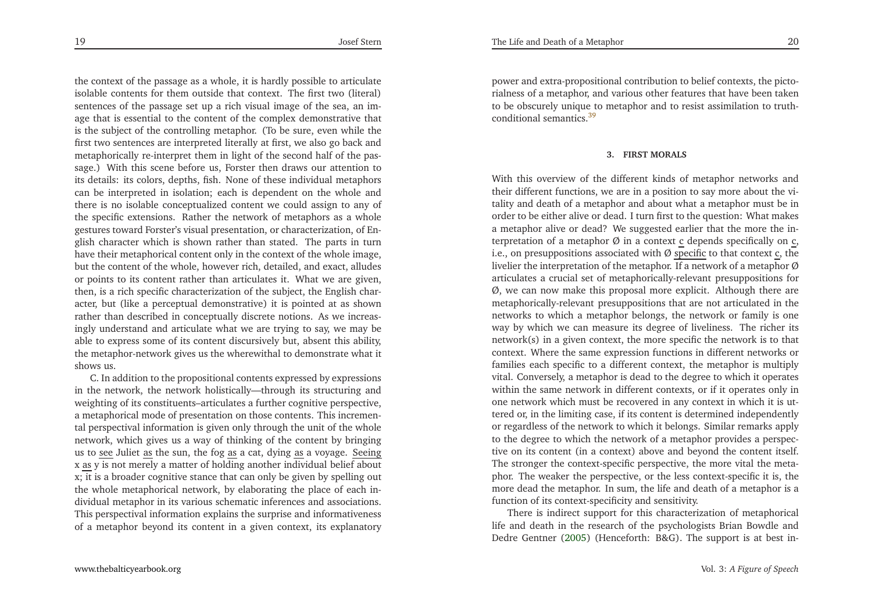the context of the passage as <sup>a</sup> whole, it is hardly possible to articulate isolable contents for them outside that context. The first two (literal) sentences of the passage set up <sup>a</sup> rich visual image of the sea, an image that is essential to the content of the complex demonstrative that is the subject of the controlling metaphor. (To be sure, even while the first two sentences are interpreted literally at first, we also go back and metaphorically re-interpret them in light of the second half of the passage.) With this scene before us, Forster then draws our attention to its details: its colors, depths, fish. None of these individual metaphors can be interpreted in isolation; each is dependent on the whole and there is no isolable conceptualized content we could assign to any of the specific extensions. Rather the network of metaphors as <sup>a</sup> whole gestures toward Forster's visual presentation, or characterization, of En<sup>g</sup>lish character which is shown rather than stated. The parts in turn have their metaphorical content only in the context of the whole image, but the content of the whole, however rich, detailed, and exact, alludes or points to its content rather than articulates it. What we are <sup>g</sup>iven, then, is <sup>a</sup> rich specific characterization of the subject, the English character, but (like <sup>a</sup> perceptual demonstrative) it is pointed at as shown rather than described in conceptually discrete notions. As we increasingly understand and articulate what we are trying to say, we may be able to express some of its content discursively but, absent this ability, the metaphor-network <sup>g</sup>ives us the wherewithal to demonstrate what itshows us.

C. In addition to the propositional contents expressed by expressions in the network, the network holistically—through its structuring and weighting of its constituents–articulates <sup>a</sup> further cognitive perspective, <sup>a</sup> metaphorical mode of presentation on those contents. This incremental perspectival information is <sup>g</sup>iven only through the unit of the whole network, which <sup>g</sup>ives us <sup>a</sup> way of thinking of the content by bringingus to <u>see</u> Juliet <u>as</u> the sun, the fog <u>as</u> a cat, dying <u>as</u> a voyage. <u>Seeing</u> x <u>as</u> y is not merely a matter of holding another individual belief about x; it is <sup>a</sup> broader cognitive stance that can only be <sup>g</sup>iven by spelling out the whole metaphorical network, by elaborating the <sup>p</sup>lace of each individual metaphor in its various schematic inferences and associations. This perspectival information explains the surprise and informativenessof <sup>a</sup> metaphor beyond its content in <sup>a</sup> <sup>g</sup>iven context, its explanatory

<span id="page-10-0"></span>power and extra-propositional contribution to belief contexts, the <sup>p</sup>ictorialness of <sup>a</sup> metaphor, and various other features that have been taken to be obscurely unique to metaphor and to resist assimilation to truthconditional semantics.[39](#page-20-16)

#### **3. FIRST MORALS**

With this overview of the different kinds of metaphor networks and their different functions, we are in <sup>a</sup> position to say more about the vitality and death of <sup>a</sup> metaphor and about what <sup>a</sup> metaphor must be in order to be either alive or dead. <sup>I</sup> turn first to the question: What makes <sup>a</sup> metaphor alive or dead? We suggested earlier that the more the interpretation of a metaphor  $\emptyset$  in a context  $\underline{c}$  depends specifically on  $\underline{c}$ , i.e., on presuppositions associated with  $\emptyset$  specific to that context c, the livelier the interpretation of the metaphor. If a network of a metaphor  $\varnothing$  articulates <sup>a</sup> crucial set of metaphorically-relevant presuppositions for Ø, we can now make this proposal more explicit. Although there are metaphorically-relevant presuppositions that are not articulated in the networks to which <sup>a</sup> metaphor belongs, the network or family is one way by which we can measure its degree of liveliness. The richer its network(s) in <sup>a</sup> <sup>g</sup>iven context, the more specific the network is to that context. Where the same expression functions in different networks or families each specific to <sup>a</sup> different context, the metaphor is multiply vital. Conversely, <sup>a</sup> metaphor is dead to the degree to which it operates within the same network in different contexts, or if it operates only in one network which must be recovered in any context in which it is uttered or, in the limiting case, if its content is determined independently or regardless of the network to which it belongs. Similar remarks apply to the degree to which the network of <sup>a</sup> metaphor provides <sup>a</sup> perspective on its content (in <sup>a</sup> context) above and beyond the content itself. The stronger the context-specific perspective, the more vital the meta<sup>p</sup>hor. The weaker the perspective, or the less context-specific it is, the more dead the metaphor. In sum, the life and death of <sup>a</sup> metaphor is <sup>a</sup>function of its context-specificity and sensitivity.

There is indirect suppor<sup>t</sup> for this characterization of metaphorical life and death in the research of the psychologists Brian Bowdle andDedre Gentner [\(2005](#page-21-1)) (Henceforth: B&G). The suppor<sup>t</sup> is at best in-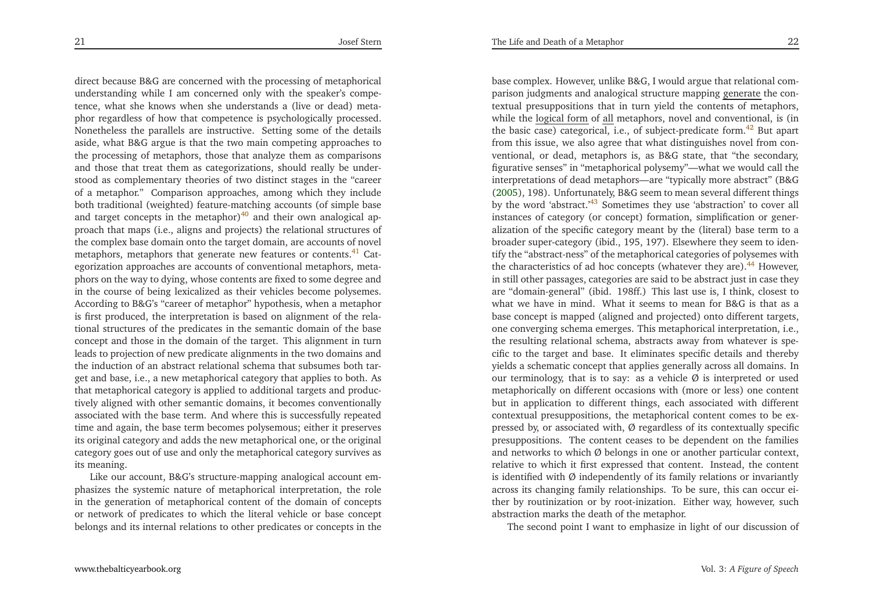direct because B&G are concerned with the processing of metaphoricalunderstanding while <sup>I</sup> am concerned only with the speaker's competence, what she knows when she understands <sup>a</sup> (live or dead) meta<sup>p</sup>hor regardless of how that competence is psychologically processed. Nonetheless the parallels are instructive. Setting some of the details aside, what B&G argue is that the two main competing approaches to the processing of metaphors, those that analyze them as comparisons and those that treat them as categorizations, should really be understood as complementary theories of two distinct stages in the "career of <sup>a</sup> metaphor." Comparison approaches, among which they include both traditional (weighted) feature-matching accounts (of simple baseand target concepts in the metaphor)<sup>[40](#page-20-17)</sup> and their own analogical approach that maps (i.e., aligns and projects) the relational structures of the complex base domain onto the target domain, are accounts of novel metaphors, metaphors that generate new features or contents.<sup>[41](#page-20-18)</sup> Categorization approaches are accounts of conventional metaphors, meta<sup>p</sup>hors on the way to dying, whose contents are fixed to some degree and in the course of being lexicalized as their vehicles become polysemes. According to B&G's "career of metaphor" hypothesis, when <sup>a</sup> metaphor is first produced, the interpretation is based on alignment of the relational structures of the predicates in the semantic domain of the base concep<sup>t</sup> and those in the domain of the target. This alignment in turn leads to projection of new predicate alignments in the two domains and the induction of an abstract relational schema that subsumes both targe<sup>t</sup> and base, i.e., <sup>a</sup> new metaphorical category that applies to both. As that metaphorical category is applied to additional targets and productively aligned with other semantic domains, it becomes conventionally associated with the base term. And where this is successfully repeated time and again, the base term becomes polysemous; either it preserves its original category and adds the new metaphorical one, or the originalcategory goes out of use and only the metaphorical category survives asits meaning.

Like our account, B&G's structure-mapping analogical account em<sup>p</sup>hasizes the systemic nature of metaphorical interpretation, the role in the generation of metaphorical content of the domain of concepts or network of predicates to which the literal vehicle or base concep<sup>t</sup> belongs and its internal relations to other predicates or concepts in the

<span id="page-11-4"></span><span id="page-11-3"></span><span id="page-11-2"></span><span id="page-11-1"></span><span id="page-11-0"></span>base complex. However, unlike B&G, <sup>I</sup> would argue that relational comparison judgments and analogical structure mapping generate the contextual presuppositions that in turn <sup>y</sup>ield the contents of metaphors, while the <u>logical form</u> of all metaphors, novel and conventional, is (in the basic case) categorical, i.e., of subject-predicate form.<sup>[42](#page-20-19)</sup> But apart from this issue, we also agree that what distinguishes novel from conventional, or dead, metaphors is, as B&G state, that "the secondary, figurative senses" in "metaphorical polysemy"—what we would call the interpretations of dead metaphors—are "typically more abstract" (B&G [\(2005](#page-21-1)), 198). Unfortunately, B&G seem to mean several different thingsby the word 'abstract.'<sup>[43](#page-20-20)</sup> Sometimes they use 'abstraction' to cover all instances of category (or concept) formation, simplification or generalization of the specific category meant by the (literal) base term to <sup>a</sup> broader super-category (ibid., 195, 197). Elsewhere they seem to identify the "abstract-ness" of the metaphorical categories of polysemes withthe characteristics of ad hoc concepts (whatever they are).<sup>[44](#page-20-21)</sup> However, in still other passages, categories are said to be abstract just in case they are "domain-general" (ibid. 198ff.) This last use is, <sup>I</sup> think, closest to what we have in mind. What it seems to mean for B&G is that as <sup>a</sup> base concep<sup>t</sup> is mapped (aligned and projected) onto different targets, one converging schema emerges. This metaphorical interpretation, i.e., the resulting relational schema, abstracts away from whatever is specific to the target and base. It eliminates specific details and thereby <sup>y</sup>ields <sup>a</sup> schematic concep<sup>t</sup> that applies generally across all domains. Inour terminology, that is to say: as a vehicle  $\emptyset$  is interpreted or used metaphorically on different occasions with (more or less) one content but in application to different things, each associated with different contextual presuppositions, the metaphorical content comes to be expressed by, or associated with,  $\varnothing$  regardless of its contextually specific presuppositions. The content ceases to be dependent on the familiesand networks to which  $\emptyset$  belongs in one or another particular context, relative to which it first expressed that content. Instead, the content is identified with Ø independently of its family relations or invariantly across its changing family relationships. To be sure, this can occur either by routinization or by root-inization. Either way, however, suchabstraction marks the death of the metaphor.

The second point <sup>I</sup> want to emphasize in light of our discussion of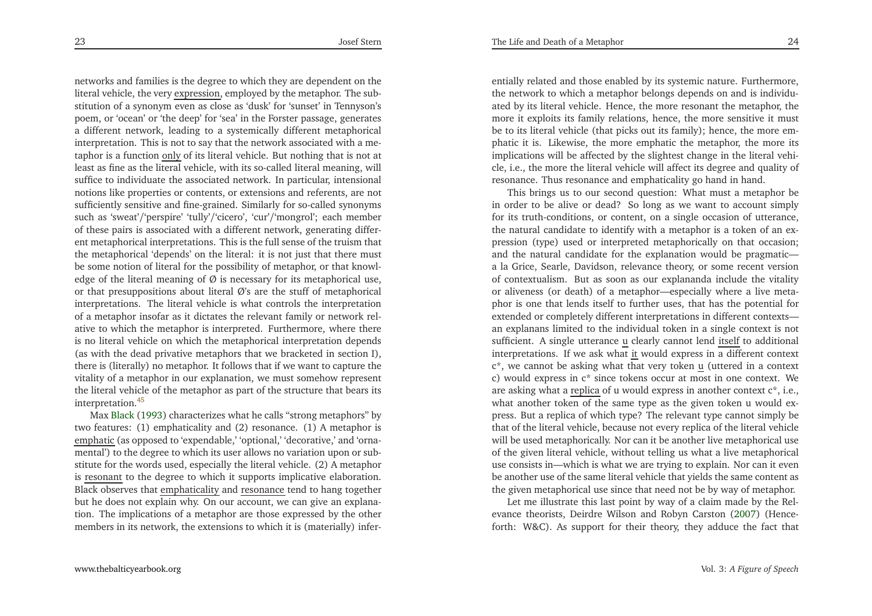The Life and Death of <sup>a</sup> Metaphor

<span id="page-12-0"></span>networks and families is the degree to which they are dependent on theliteral vehicle, the very <u>expression</u>, employed by the metaphor. The substitution of <sup>a</sup> synonym even as close as 'dusk' for 'sunset' in Tennyson's poem, or 'ocean' or 'the deep' for 'sea' in the Forster passage, generates <sup>a</sup> different network, leading to <sup>a</sup> systemically different metaphorical interpretation. This is not to say that the network associated with <sup>a</sup> metaphor is a function <u>only</u> of its literal vehicle. But nothing that is not at least as fine as the literal vehicle, with its so-called literal meaning, will suffice to individuate the associated network. In particular, intensional notions like properties or contents, or extensions and referents, are not sufficiently sensitive and fine-grained. Similarly for so-called synonyms such as 'sweat'/'perspire' 'tully'/'cicero', 'cur'/'mongrol'; each member of these pairs is associated with <sup>a</sup> different network, generating different metaphorical interpretations. This is the full sense of the truism that the metaphorical 'depends' on the literal: it is not just that there must be some notion of literal for the possibility of metaphor, or that knowledge of the literal meaning of  $\emptyset$  is necessary for its metaphorical use, or that presuppositions about literal Ø's are the stuff of metaphorical interpretations. The literal vehicle is what controls the interpretation of <sup>a</sup> metaphor insofar as it dictates the relevant family or network relative to which the metaphor is interpreted. Furthermore, where there is no literal vehicle on which the metaphorical interpretation depends (as with the dead privative metaphors that we bracketed in section I), there is (literally) no metaphor. It follows that if we want to capture the vitality of <sup>a</sup> metaphor in our explanation, we must somehow represen<sup>t</sup> the literal vehicle of the metaphor as par<sup>t</sup> of the structure that bears itsinterpretation.[45](#page-20-22)

Max [Black](#page-21-2) [\(1993](#page-21-2)) characterizes what he calls "strong metaphors" by two features: (1) emphaticality and (2) resonance. (1) <sup>A</sup> metaphor is emphatic (as opposed to 'expendable,' 'optional,' 'decorative,' and 'ornamental') to the degree to which its user allows no variation upon or substitute for the words used, especially the literal vehicle. (2) <sup>A</sup> metaphoris resonant to the degree to which it supports implicative elaboration. Black observes that <u>emphaticality</u> and <u>resonance</u> tend to hang together but he does not explain why. On our account, we can <sup>g</sup>ive an explanation. The implications of <sup>a</sup> metaphor are those expressed by the othermembers in its network, the extensions to which it is (materially) infer-

entially related and those enabled by its systemic nature. Furthermore, the network to which <sup>a</sup> metaphor belongs depends on and is individuated by its literal vehicle. Hence, the more resonant the metaphor, the more it exploits its family relations, hence, the more sensitive it must be to its literal vehicle (that <sup>p</sup>icks out its family); hence, the more em<sup>p</sup>hatic it is. Likewise, the more emphatic the metaphor, the more its implications will be affected by the slightest change in the literal vehicle, i.e., the more the literal vehicle will affect its degree and quality ofresonance. Thus resonance and emphaticality go hand in hand.

This brings us to our second question: What must <sup>a</sup> metaphor be in order to be alive or dead? So long as we want to account simply for its truth-conditions, or content, on <sup>a</sup> single occasion of utterance, the natural candidate to identify with <sup>a</sup> metaphor is <sup>a</sup> token of an expression (type) used or interpreted metaphorically on that occasion; and the natural candidate for the explanation would be pragmatic <sup>a</sup> la Grice, Searle, Davidson, relevance theory, or some recent version of contextualism. But as soon as our explananda include the vitality or aliveness (or death) of <sup>a</sup> metaphor—especially where <sup>a</sup> live meta<sup>p</sup>hor is one that lends itself to further uses, that has the potential for extended or completely different interpretations in different contexts an explanans limited to the individual token in <sup>a</sup> single context is notsufficient. A single utterance  $\underline{u}$  clearly cannot lend itself to additional interpretations. If we ask what <u>it</u> would express in a different context  $c^*$ , we cannot be asking what that very token  $\underline{\mathbf{u}}$  (uttered in a context c) would express in <sup>c</sup>\* since tokens occur at most in one context. Weare asking what a <u>replica</u> of u would express in another context c\*, i.e., what another token of the same type as the <sup>g</sup>iven token <sup>u</sup> would express. But <sup>a</sup> replica of which type? The relevant type cannot simply be that of the literal vehicle, because not every replica of the literal vehicle will be used metaphorically. Nor can it be another live metaphorical use of the <sup>g</sup>iven literal vehicle, without telling us what <sup>a</sup> live metaphorical use consists in—which is what we are trying to explain. Nor can it even be another use of the same literal vehicle that <sup>y</sup>ields the same content asthe <sup>g</sup>iven metaphorical use since that need not be by way of metaphor.

Let me illustrate this last point by way of <sup>a</sup> claim made by the Relevance theorists, Deirdre Wilson and Robyn Carston [\(2007](#page-22-2)) (Henceforth: W&C). As suppor<sup>t</sup> for their theory, they adduce the fact that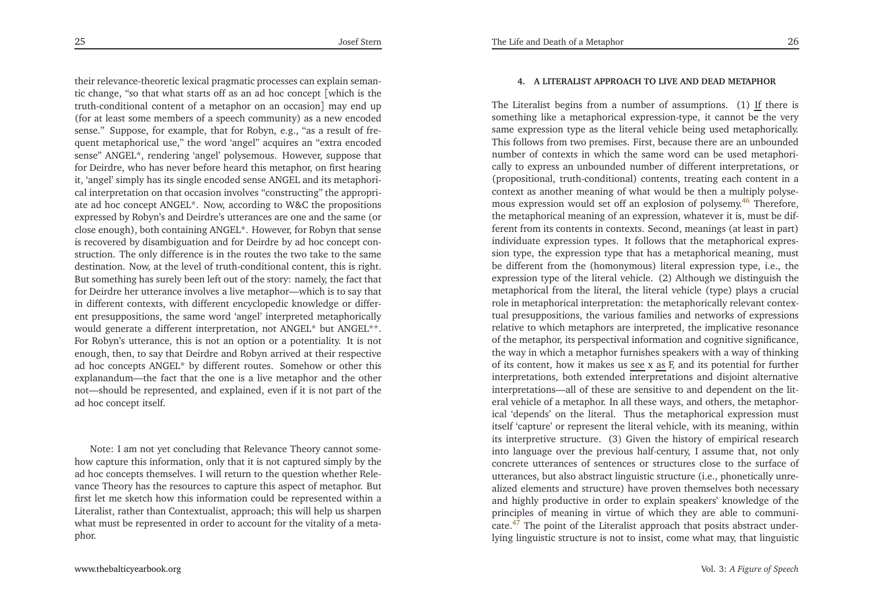<span id="page-13-1"></span>their relevance-theoretic lexical pragmatic processes can explain semantic change, "so that what starts off as an ad hoc concep<sup>t</sup> [which is the truth-conditional content of <sup>a</sup> metaphor on an occasion] may end up (for at least some members of <sup>a</sup> speech community) as <sup>a</sup> new encoded sense." Suppose, for example, that for Robyn, e.g., "as <sup>a</sup> result of frequen<sup>t</sup> metaphorical use," the word 'angel" acquires an "extra encoded sense" ANGEL\*, rendering 'angel' polysemous. However, suppose that for Deirdre, who has never before heard this metaphor, on first hearing it, 'angel' simply has its single encoded sense ANGEL and its metaphorical interpretation on that occasion involves "constructing" the appropriate ad hoc concep<sup>t</sup> ANGEL\*. Now, according to W&C the propositions expressed by Robyn's and Deirdre's utterances are one and the same (or close enough), both containing ANGEL\*. However, for Robyn that sense is recovered by disambiguation and for Deirdre by ad hoc concep<sup>t</sup> construction. The only difference is in the routes the two take to the same destination. Now, at the level of truth-conditional content, this is right. But something has surely been left out of the story: namely, the fact that for Deirdre her utterance involves <sup>a</sup> live metaphor—which is to say that in different contexts, with different encyclopedic knowledge or different presuppositions, the same word 'angel' interpreted metaphorically would generate <sup>a</sup> different interpretation, not ANGEL\* but ANGEL\*\*. For Robyn's utterance, this is not an option or <sup>a</sup> potentiality. It is not enough, then, to say that Deirdre and Robyn arrived at their respective ad hoc concepts ANGEL\* by different routes. Somehow or other this explanandum—the fact that the one is <sup>a</sup> live metaphor and the other not—should be represented, and explained, even if it is not par<sup>t</sup> of thead hoc concep<sup>t</sup> itself.

Note: <sup>I</sup> am not ye<sup>t</sup> concluding that Relevance Theory cannot somehow capture this information, only that it is not captured simply by the ad hoc concepts themselves. <sup>I</sup> will return to the question whether Relevance Theory has the resources to capture this aspec<sup>t</sup> of metaphor. But first let me sketch how this information could be represented within <sup>a</sup> Literalist, rather than Contextualist, approach; this will help us sharpen what must be represented in order to account for the vitality of <sup>a</sup> metaphor.

#### **4. <sup>A</sup> LITERALIST APPROACH TO LIVE AND DEAD METAPHOR**

<span id="page-13-0"></span>The Literalist begins from a number of assumptions. (1)  $\underline{\text{If}}$  there is something like <sup>a</sup> metaphorical expression-type, it cannot be the very same expression type as the literal vehicle being used metaphorically. This follows from two premises. First, because there are an unbounded number of contexts in which the same word can be used metaphorically to express an unbounded number of different interpretations, or (propositional, truth-conditional) contents, treating each content in <sup>a</sup> context as another meaning of what would be then <sup>a</sup> multiply polyse-mous expression would set off an explosion of polysemy.<sup>[46](#page-20-23)</sup> Therefore, the metaphorical meaning of an expression, whatever it is, must be different from its contents in contexts. Second, meanings (at least in part) individuate expression types. It follows that the metaphorical expression type, the expression type that has <sup>a</sup> metaphorical meaning, must be different from the (homonymous) literal expression type, i.e., the expression type of the literal vehicle. (2) Although we distinguish the metaphorical from the literal, the literal vehicle (type) <sup>p</sup>lays <sup>a</sup> crucialrole in metaphorical interpretation: the metaphorically relevant contextual presuppositions, the various families and networks of expressions relative to which metaphors are interpreted, the implicative resonance of the metaphor, its perspectival information and cognitive significance, the way in which <sup>a</sup> metaphor furnishes speakers with <sup>a</sup> way of thinkingof its content, how it makes us <u>see</u> x <u>as</u> F, and its potential for further interpretations, both extended interpretations and disjoint alternative interpretations—all of these are sensitive to and dependent on the literal vehicle of <sup>a</sup> metaphor. In all these ways, and others, the metaphorical 'depends' on the literal. Thus the metaphorical expression must itself 'capture' or represen<sup>t</sup> the literal vehicle, with its meaning, within its interpretive structure. (3) Given the history of empirical research into language over the previous half-century, <sup>I</sup> assume that, not only concrete utterances of sentences or structures close to the surface of utterances, but also abstract linguistic structure (i.e., <sup>p</sup>honetically unrealized elements and structure) have proven themselves both necessary and highly productive in order to explain speakers' knowledge of the principles of meaning in virtue of which they are able to communicate.[47](#page-20-24) The point of the Literalist approac<sup>h</sup> that posits abstract underlying linguistic structure is not to insist, come what may, that linguistic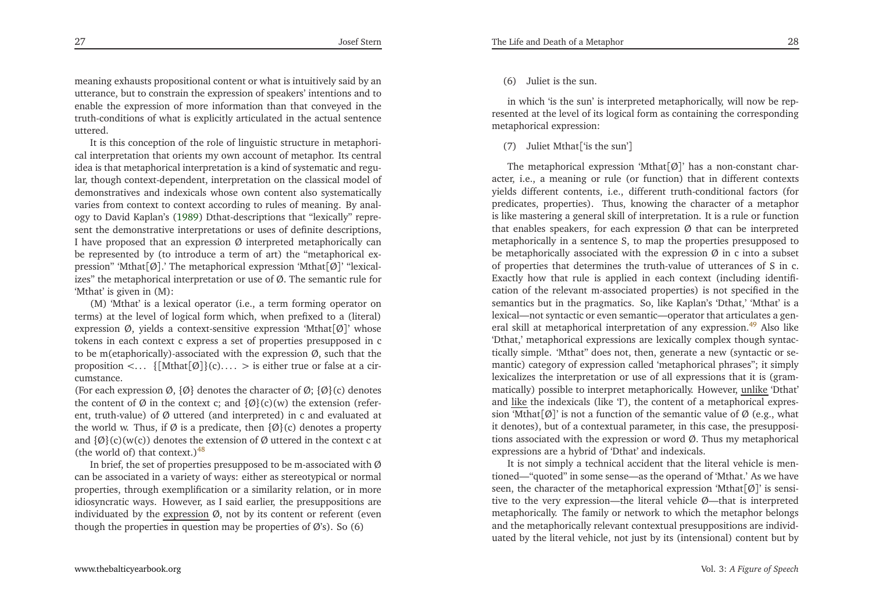meaning exhausts propositional content or what is intuitively said by an utterance, but to constrain the expression of speakers' intentions and to enable the expression of more information than that conveyed in the truth-conditions of what is explicitly articulated in the actual sentenceuttered.

<span id="page-14-0"></span>It is this conception of the role of linguistic structure in metaphorical interpretation that orients my own account of metaphor. Its central idea is that metaphorical interpretation is <sup>a</sup> kind of systematic and regular, though context-dependent, interpretation on the classical model of demonstratives and indexicals whose own content also systematically varies from context to context according to rules of meaning. By analogy to David Kaplan's [\(1989](#page-21-3)) Dthat-descriptions that "lexically" represent the demonstrative interpretations or uses of definite descriptions, I have proposed that an expression  $\emptyset$  interpreted metaphorically can be represented by (to introduce <sup>a</sup> term of art) the "metaphorical expression" 'Mthat $\lceil \emptyset \rceil$ .' The metaphorical expression 'Mthat $\lceil \emptyset \rceil$ ' "lexicalizes" the metaphorical interpretation or use of Ø. The semantic rule for'Mthat' is <sup>g</sup>iven in (M):

 (M) 'Mthat' is <sup>a</sup> lexical operator (i.e., <sup>a</sup> term forming operator on terms) at the level of logical form which, when prefixed to <sup>a</sup> (literal) expression Ø, <sup>y</sup>ields <sup>a</sup> context-sensitive expression 'Mthat[Ø]' whose tokens in each context <sup>c</sup> express <sup>a</sup> set of properties presupposed in <sup>c</sup> to be m(etaphorically)-associated with the expression Ø, such that theproposition <...  $\{[\text{Mthat}[\emptyset]\}(c) \ldots$  > is either true or false at a circumstance.

(For each expression  $\varnothing$ ,  $\{\varnothing\}$  denotes the character of  $\varnothing$ ;  $\{\varnothing\}$ (c) denotes the content of  $\emptyset$  in the context c; and  $\{\emptyset\}(c)(w)$  the extension (referent, truth-value) of Ø uttered (and interpreted) in <sup>c</sup> and evaluated atthe world w. Thus, if  $\emptyset$  is a predicate, then  $\{\emptyset\}$ (c) denotes a property and  $\{\emptyset\}$ (c)(w(c)) denotes the extension of  $\emptyset$  uttered in the context c at (the world of) that context.) $48$ 

In brief, the set of properties presupposed to be m-associated with  $\emptyset$  can be associated in <sup>a</sup> variety of ways: either as stereotypical or normal properties, through exemplification or <sup>a</sup> similarity relation, or in more idiosyncratic ways. However, as <sup>I</sup> said earlier, the presuppositions areindividuated by the <u>expression</u> Ø, not by its content or referent (even though the properties in question may be properties of  $\varnothing$ 's). So (6)

## (6) Juliet is the sun.

in which 'is the sun' is interpreted metaphorically, will now be represented at the level of its logical form as containing the correspondingmetaphorical expression:

(7) Juliet Mthat['is the sun']

<span id="page-14-1"></span>The metaphorical expression 'Mthat $[Ø]$ ' has a non-constant character, i.e., <sup>a</sup> meaning or rule (or function) that in different contexts <sup>y</sup>ields different contents, i.e., different truth-conditional factors (for predicates, properties). Thus, knowing the character of <sup>a</sup> metaphor is like mastering <sup>a</sup> general skill of interpretation. It is <sup>a</sup> rule or function that enables speakers, for each expression Ø that can be interpreted metaphorically in <sup>a</sup> sentence S, to map the properties presupposed tobe metaphorically associated with the expression  $\varnothing$  in c into a subset of properties that determines the truth-value of utterances of <sup>S</sup> in c. Exactly how that rule is applied in each context (including identification of the relevant m-associated properties) is not specified in the semantics but in the pragmatics. So, like Kaplan's 'Dthat,' 'Mthat' is <sup>a</sup> lexical—not syntactic or even semantic—operator that articulates <sup>a</sup> gen-eral skill at metaphorical interpretation of any expression.<sup>[49](#page-20-26)</sup> Also like 'Dthat,' metaphorical expressions are lexically complex though syntactically simple. 'Mthat" does not, then, generate <sup>a</sup> new (syntactic or semantic) category of expression called 'metaphorical <sup>p</sup>hrases"; it simply lexicalizes the interpretation or use of all expressions that it is (grammatically) possible to interpret metaphorically. However, unlike 'Dthat' and <u>like</u> the indexicals (like 'I'), the content of a metaphorical expression 'Mthat $\lceil \emptyset \rceil$ ' is not a function of the semantic value of  $\emptyset$  (e.g., what it denotes), but of <sup>a</sup> contextual parameter, in this case, the presuppositions associated with the expression or word Ø. Thus my metaphoricalexpressions are <sup>a</sup> hybrid of 'Dthat' and indexicals.

It is not simply <sup>a</sup> technical accident that the literal vehicle is mentioned—"quoted" in some sense—as the operand of 'Mthat.' As we haveseen, the character of the metaphorical expression 'Mthat[Ø]' is sensitive to the very expression—the literal vehicle Ø—that is interpreted metaphorically. The family or network to which the metaphor belongs and the metaphorically relevant contextual presuppositions are individuated by the literal vehicle, not just by its (intensional) content but by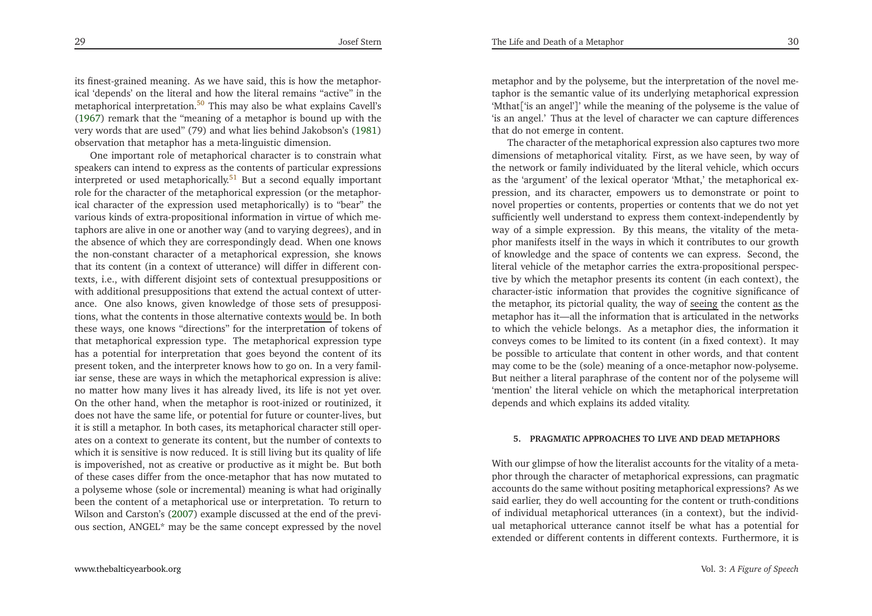its finest-grained meaning. As we have said, this is how the metaphorical 'depends' on the literal and how the literal remains "active" in themetaphorical interpretation.<sup>[50](#page-20-27)</sup> This may also be what explains Cavell's [\(1967](#page-21-4)) remark that the "meaning of <sup>a</sup> metaphor is bound up with the very words that are used" (79) and what lies behind Jakobson's [\(1981](#page-21-5))observation that metaphor has <sup>a</sup> meta-linguistic dimension.

One important role of metaphorical character is to constrain what speakers can intend to express as the contents of particular expressionsinterpreted or used metaphorically.<sup>[51](#page-20-28)</sup> But a second equally important role for the character of the metaphorical expression (or the metaphorical character of the expression used metaphorically) is to "bear" the various kinds of extra-propositional information in virtue of which metaphors are alive in one or another way (and to varying degrees), and in the absence of which they are correspondingly dead. When one knows the non-constant character of <sup>a</sup> metaphorical expression, she knows that its content (in <sup>a</sup> context of utterance) will differ in different contexts, i.e., with different disjoint sets of contextual presuppositions or with additional presuppositions that extend the actual context of utterance. One also knows, <sup>g</sup>iven knowledge of those sets of presuppositions, what the contents in those alternative contexts <u>would</u> be. In both these ways, one knows "directions" for the interpretation of tokens of that metaphorical expression type. The metaphorical expression type has <sup>a</sup> potential for interpretation that goes beyond the content of its presen<sup>t</sup> token, and the interpreter knows how to go on. In <sup>a</sup> very familiar sense, these are ways in which the metaphorical expression is alive: no matter how many lives it has already lived, its life is not ye<sup>t</sup> over. On the other hand, when the metaphor is root-inized or routinized, it does not have the same life, or potential for future or counter-lives, but it is still <sup>a</sup> metaphor. In both cases, its metaphorical character still operates on <sup>a</sup> context to generate its content, but the number of contexts to which it is sensitive is now reduced. It is still living but its quality of life is impoverished, not as creative or productive as it might be. But both of these cases differ from the once-metaphor that has now mutated to <sup>a</sup> polyseme whose (sole or incremental) meaning is what had originally been the content of <sup>a</sup> metaphorical use or interpretation. To return to Wilson and Carston's [\(2007](#page-22-2)) example discussed at the end of the previous section, ANGEL\* may be the same concep<sup>t</sup> expressed by the novel

[www.thebalticyearbook.org](http://www.thebalticyearbook.org/)

metaphor and by the polyseme, but the interpretation of the novel metaphor is the semantic value of its underlying metaphorical expression 'Mthat['is an angel']' while the meaning of the polyseme is the value of 'is an angel.' Thus at the level of character we can capture differencesthat do not emerge in content.

<span id="page-15-1"></span><span id="page-15-0"></span>The character of the metaphorical expression also captures two more dimensions of metaphorical vitality. First, as we have seen, by way of the network or family individuated by the literal vehicle, which occurs as the 'argument' of the lexical operator 'Mthat,' the metaphorical expression, and its character, empowers us to demonstrate or point to novel properties or contents, properties or contents that we do not ye<sup>t</sup> sufficiently well understand to express them context-independently by way of <sup>a</sup> simple expression. By this means, the vitality of the meta<sup>p</sup>hor manifests itself in the ways in which it contributes to our growth of knowledge and the space of contents we can express. Second, the literal vehicle of the metaphor carries the extra-propositional perspective by which the metaphor presents its content (in each context), the character-istic information that provides the cognitive significance ofthe metaphor, its pictorial quality, the way of seeing the content as the metaphor has it—all the information that is articulated in the networks to which the vehicle belongs. As <sup>a</sup> metaphor dies, the information it conveys comes to be limited to its content (in <sup>a</sup> fixed context). It may be possible to articulate that content in other words, and that content may come to be the (sole) meaning of <sup>a</sup> once-metaphor now-polyseme. But neither <sup>a</sup> literal paraphrase of the content nor of the polyseme will'mention' the literal vehicle on which the metaphorical interpretationdepends and which explains its added vitality.

### **5. PRAGMATIC APPROACHES TO LIVE AND DEAD METAPHORS**

With our <sup>g</sup>limpse of how the literalist accounts for the vitality of <sup>a</sup> meta<sup>p</sup>hor through the character of metaphorical expressions, can pragmatic accounts do the same without positing metaphorical expressions? As we said earlier, they do well accounting for the content or truth-conditions of individual metaphorical utterances (in <sup>a</sup> context), but the individual metaphorical utterance cannot itself be what has <sup>a</sup> potential forextended or different contents in different contexts. Furthermore, it is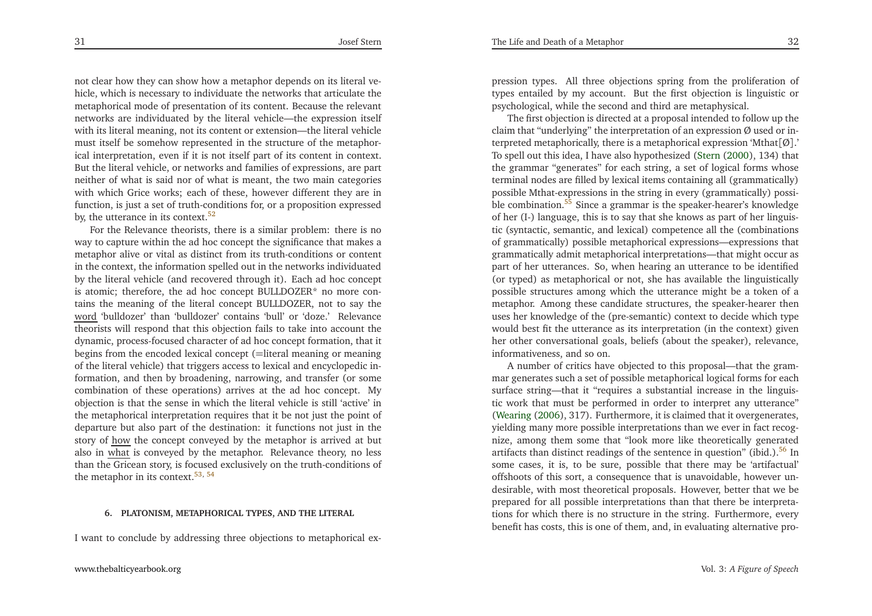31

<span id="page-16-2"></span><span id="page-16-1"></span>not clear how they can show how <sup>a</sup> metaphor depends on its literal vehicle, which is necessary to individuate the networks that articulate the metaphorical mode of presentation of its content. Because the relevant networks are individuated by the literal vehicle—the expression itself with its literal meaning, not its content or extension—the literal vehicle must itself be somehow represented in the structure of the metaphorical interpretation, even if it is not itself par<sup>t</sup> of its content in context. But the literal vehicle, or networks and families of expressions, are par<sup>t</sup> neither of what is said nor of what is meant, the two main categories with which Grice works; each of these, however different they are in function, is just <sup>a</sup> set of truth-conditions for, or <sup>a</sup> proposition expressedby, the utterance in its context. $52$ 

<span id="page-16-4"></span>For the Relevance theorists, there is <sup>a</sup> similar problem: there is no way to capture within the ad hoc concep<sup>t</sup> the significance that makes <sup>a</sup> metaphor alive or vital as distinct from its truth-conditions or content in the context, the information spelled out in the networks individuated by the literal vehicle (and recovered through it). Each ad hoc concep<sup>t</sup> is atomic; therefore, the ad hoc concep<sup>t</sup> BULLDOZER\* no more contains the meaning of the literal concep<sup>t</sup> BULLDOZER, not to say the word 'bulldozer' than 'bulldozer' contains 'bull' or 'doze.' Relevance theorists will respond that this objection fails to take into account the dynamic, process-focused character of ad hoc concep<sup>t</sup> formation, that it begins from the encoded lexical concep<sup>t</sup> (=literal meaning or meaning of the literal vehicle) that triggers access to lexical and encyclopedic information, and then by broadening, narrowing, and transfer (or some combination of these operations) arrives at the ad hoc concept. My objection is that the sense in which the literal vehicle is still 'active' in the metaphorical interpretation requires that it be not just the point of departure but also par<sup>t</sup> of the destination: it functions not just in thestory of <u>how</u> the concept conveyed by the metaphor is arrived at but also in what is conveyed by the metaphor. Relevance theory, no less than the Gricean story, is focused exclusively on the truth-conditions ofthe metaphor in its context.<sup>[53](#page-20-30), [54](#page-20-31)</sup>

#### **6. PLATONISM, METAPHORICAL TYPES, AND THE LITERAL**

<sup>I</sup> want to conclude by addressing three objections to metaphorical ex-

<span id="page-16-3"></span>pression types. All three objections spring from the proliferation of types entailed by my account. But the first objection is linguistic orpsychological, while the second and third are metaphysical.

<span id="page-16-0"></span>The first objection is directed at <sup>a</sup> proposal intended to follow up theclaim that "underlying" the interpretation of an expression Ø used or interpreted metaphorically, there is <sup>a</sup> metaphorical expression 'Mthat[Ø].' To spell out this idea, <sup>I</sup> have also hypothesized [\(Stern](#page-22-1) [\(2000](#page-22-1)), 134) that the grammar "generates" for each string, <sup>a</sup> set of logical forms whose terminal nodes are filled by lexical items containing all (grammatically) possible Mthat-expressions in the string in every (grammatically) possi-ble combination.<sup>[55](#page-21-6)</sup> Since a grammar is the speaker-hearer's knowledge of her (I-) language, this is to say that she knows as par<sup>t</sup> of her linguistic (syntactic, semantic, and lexical) competence all the (combinations of grammatically) possible metaphorical expressions—expressions that grammatically admit metaphorical interpretations—that might occur as par<sup>t</sup> of her utterances. So, when hearing an utterance to be identified (or typed) as metaphorical or not, she has available the linguistically possible structures among which the utterance might be <sup>a</sup> token of <sup>a</sup> metaphor. Among these candidate structures, the speaker-hearer then uses her knowledge of the (pre-semantic) context to decide which type would best fit the utterance as its interpretation (in the context) <sup>g</sup>iven her other conversational goals, beliefs (about the speaker), relevance, informativeness, and so on.

<sup>A</sup> number of critics have objected to this proposal—that the grammar generates such <sup>a</sup> set of possible metaphorical logical forms for each surface string—that it "requires <sup>a</sup> substantial increase in the linguistic work that must be performed in order to interpret any utterance" [\(Wearing](#page-22-3) [\(2006\)](#page-22-3), 317). Furthermore, it is claimed that it overgenerates, <sup>y</sup>ielding many more possible interpretations than we ever in fact recognize, among them some that "look more like theoretically generatedartifacts than distinct readings of the sentence in question" (ibid.).<sup>[56](#page-21-7)</sup> In some cases, it is, to be sure, possible that there may be 'artifactual' offshoots of this sort, <sup>a</sup> consequence that is unavoidable, however undesirable, with most theoretical proposals. However, better that we be prepared for all possible interpretations than that there be interpretations for which there is no structure in the string. Furthermore, everybenefit has costs, this is one of them, and, in evaluating alternative pro-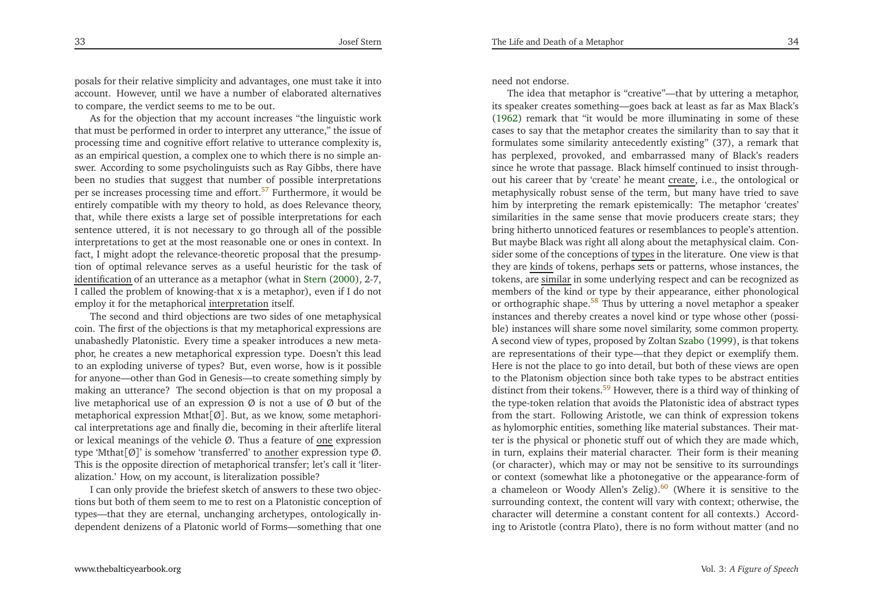<span id="page-17-2"></span>posals for their relative simplicity and advantages, one must take it into account. However, until we have <sup>a</sup> number of elaborated alternativesto compare, the verdict seems to me to be out.

<span id="page-17-3"></span>As for the objection that my account increases "the linguistic work that must be performed in order to interpret any utterance," the issue of processing time and cognitive effort relative to utterance complexity is, as an empirical question, <sup>a</sup> complex one to which there is no simple answer. According to some psycholinguists such as Ray Gibbs, there have been no studies that sugges<sup>t</sup> that number of possible interpretationsper se increases processing time and effort.<sup>[57](#page-21-8)</sup> Furthermore, it would be entirely compatible with my theory to hold, as does Relevance theory, that, while there exists <sup>a</sup> large set of possible interpretations for each sentence uttered, it is not necessary to go through all of the possible interpretations to ge<sup>t</sup> at the most reasonable one or ones in context. In fact, <sup>I</sup> might adopt the relevance-theoretic proposal that the presumption of optimal relevance serves as <sup>a</sup> useful heuristic for the task of identification of an utterance as <sup>a</sup> metaphor (what in [Stern](#page-22-1) [\(2000](#page-22-1)), 2-7, <sup>I</sup> called the problem of knowing-that <sup>x</sup> is <sup>a</sup> metaphor), even if <sup>I</sup> do notemploy it for the metaphorical <u>interpretation</u> itself.

The second and third objections are two sides of one metaphysicalcoin. The first of the objections is that my metaphorical expressions are unabashedly Platonistic. Every time <sup>a</sup> speaker introduces <sup>a</sup> new meta<sup>p</sup>hor, he creates <sup>a</sup> new metaphorical expression type. Doesn't this lead to an exploding universe of types? But, even worse, how is it possible for anyone—other than God in Genesis—to create something simply by making an utterance? The second objection is that on my proposal <sup>a</sup>live metaphorical use of an expression  $\varnothing$  is not a use of  $\varnothing$  but of the metaphorical expression Mthat[Ø]. But, as we know, some metaphorical interpretations age and finally die, becoming in their afterlife literalor lexical meanings of the vehicle Ø. Thus a feature of one expression type 'Mthat[Ø]' is somehow 'transferred' to <u>another</u> expression type Ø. This is the opposite direction of metaphorical transfer; let's call it 'literalization.' How, on my account, is literalization possible?

 <sup>I</sup> can only provide the briefest sketch of answers to these two objections but both of them seem to me to rest on <sup>a</sup> Platonistic conception of types—that they are eternal, unchanging archetypes, ontologically independent denizens of <sup>a</sup> Platonic world of Forms—something that one

<span id="page-17-1"></span>need not endorse.

<span id="page-17-0"></span>The idea that metaphor is "creative"—that by uttering <sup>a</sup> metaphor, its speaker creates something—goes back at least as far as Max Black's [\(1962](#page-21-0)) remark that "it would be more illuminating in some of these cases to say that the metaphor creates the similarity than to say that it formulates some similarity antecedently existing" (37), <sup>a</sup> remark that has perplexed, provoked, and embarrassed many of Black's readers since he wrote that passage. Black himself continued to insist throughout his career that by 'create' he meant <u>create</u>, i.e., the ontological or metaphysically robust sense of the term, but many have tried to save him by interpreting the remark epistemically: The metaphor 'creates' similarities in the same sense that movie producers create stars; they bring hitherto unnoticed features or resemblances to people's attention. But maybe Black was right all along about the metaphysical claim. Consider some of the conceptions of <u>types</u> in the literature. One view is that they are kinds of tokens, perhaps sets or patterns, whose instances, the tokens, are <u>similar</u> in some underlying respect and can be recognized as members of the kind or type by their appearance, either <sup>p</sup>honologicalor orthographic shape.<sup>[58](#page-21-9)</sup> Thus by uttering a novel metaphor a speaker instances and thereby creates <sup>a</sup> novel kind or type whose other (possible) instances will share some novel similarity, some common property. <sup>A</sup> second view of types, proposed by Zoltan [Szabo](#page-22-4) [\(1999](#page-22-4)), is that tokens are representations of their type—that they depict or exemplify them. Here is not the <sup>p</sup>lace to go into detail, but both of these views are open to the Platonism objection since both take types to be abstract entitiesdistinct from their tokens.<sup>[59](#page-21-10)</sup> However, there is a third way of thinking of the type-token relation that avoids the Platonistic idea of abstract types from the start. Following Aristotle, we can think of expression tokens as hylomorphic entities, something like material substances. Their matter is the <sup>p</sup>hysical or <sup>p</sup>honetic stuff out of which they are made which, in turn, explains their material character. Their form is their meaning (or character), which may or may not be sensitive to its surroundings or context (somewhat like <sup>a</sup> <sup>p</sup>hotonegative or the appearance-form ofa chameleon or Woody Allen's Zelig).<sup>[60](#page-21-11)</sup> (Where it is sensitive to the surrounding context, the content will vary with context; otherwise, the character will determine <sup>a</sup> constant content for all contexts.) According to Aristotle (contra Plato), there is no form without matter (and no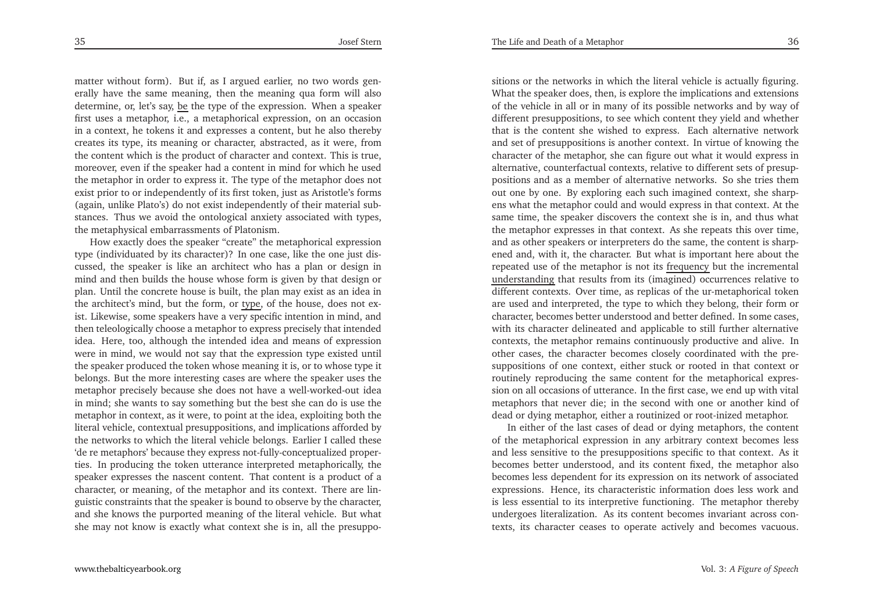matter without form). But if, as <sup>I</sup> argued earlier, no two words generally have the same meaning, then the meaning qua form will alsodetermine, or, let's say, <u>be</u> the type of the expression. When a speaker first uses <sup>a</sup> metaphor, i.e., <sup>a</sup> metaphorical expression, on an occasion in <sup>a</sup> context, he tokens it and expresses <sup>a</sup> content, but he also thereby creates its type, its meaning or character, abstracted, as it were, from the content which is the product of character and context. This is true, moreover, even if the speaker had <sup>a</sup> content in mind for which he used the metaphor in order to express it. The type of the metaphor does not exist prior to or independently of its first token, just as Aristotle's forms (again, unlike Plato's) do not exist independently of their material substances. Thus we avoid the ontological anxiety associated with types, the metaphysical embarrassments of Platonism.

How exactly does the speaker "create" the metaphorical expression type (individuated by its character)? In one case, like the one just discussed, the speaker is like an architect who has <sup>a</sup> <sup>p</sup>lan or design in mind and then builds the house whose form is <sup>g</sup>iven by that design or <sup>p</sup>lan. Until the concrete house is built, the <sup>p</sup>lan may exist as an idea inthe architect's mind, but the form, or <u>type</u>, of the house, does not exist. Likewise, some speakers have <sup>a</sup> very specific intention in mind, and then teleologically choose <sup>a</sup> metaphor to express precisely that intended idea. Here, too, although the intended idea and means of expression were in mind, we would not say that the expression type existed until the speaker produced the token whose meaning it is, or to whose type it belongs. But the more interesting cases are where the speaker uses the metaphor precisely because she does not have <sup>a</sup> well-worked-out idea in mind; she wants to say something but the best she can do is use the metaphor in context, as it were, to point at the idea, exploiting both the literal vehicle, contextual presuppositions, and implications afforded by the networks to which the literal vehicle belongs. Earlier <sup>I</sup> called these 'de re metaphors' because they express not-fully-conceptualized properties. In producing the token utterance interpreted metaphorically, the speaker expresses the nascent content. That content is <sup>a</sup> product of <sup>a</sup> character, or meaning, of the metaphor and its context. There are linguistic constraints that the speaker is bound to observe by the character, and she knows the purported meaning of the literal vehicle. But whatshe may not know is exactly what context she is in, all the presuppo-

sitions or the networks in which the literal vehicle is actually figuring. What the speaker does, then, is explore the implications and extensions of the vehicle in all or in many of its possible networks and by way of different presuppositions, to see which content they <sup>y</sup>ield and whether that is the content she wished to express. Each alternative network and set of presuppositions is another context. In virtue of knowing the character of the metaphor, she can figure out what it would express in alternative, counterfactual contexts, relative to different sets of presuppositions and as <sup>a</sup> member of alternative networks. So she tries them out one by one. By exploring each such imagined context, she sharpens what the metaphor could and would express in that context. At the same time, the speaker discovers the context she is in, and thus what the metaphor expresses in that context. As she repeats this over time, and as other speakers or interpreters do the same, the content is sharpened and, with it, the character. But what is important here about therepeated use of the metaphor is not its <u>frequency</u> but the incremental understanding that results from its (imagined) occurrences relative to different contexts. Over time, as replicas of the ur-metaphorical token are used and interpreted, the type to which they belong, their form or character, becomes better understood and better defined. In some cases, with its character delineated and applicable to still further alternative contexts, the metaphor remains continuously productive and alive. In other cases, the character becomes closely coordinated with the presuppositions of one context, either stuck or rooted in that context or routinely reproducing the same content for the metaphorical expression on all occasions of utterance. In the first case, we end up with vital metaphors that never die; in the second with one or another kind ofdead or dying metaphor, either <sup>a</sup> routinized or root-inized metaphor.

In either of the last cases of dead or dying metaphors, the content of the metaphorical expression in any arbitrary context becomes less and less sensitive to the presuppositions specific to that context. As it becomes better understood, and its content fixed, the metaphor also becomes less dependent for its expression on its network of associated expressions. Hence, its characteristic information does less work and is less essential to its interpretive functioning. The metaphor thereby undergoes literalization. As its content becomes invariant across contexts, its character ceases to operate actively and becomes vacuous.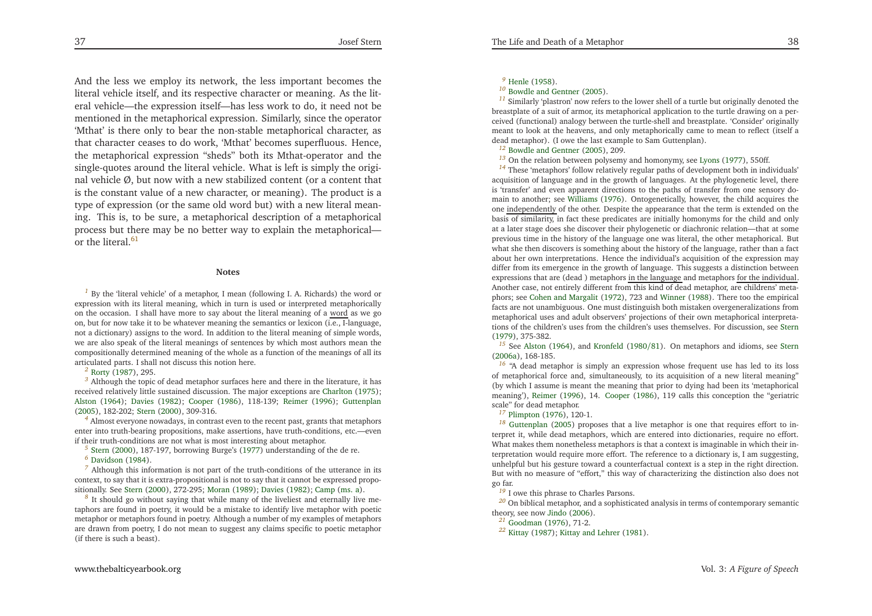<span id="page-19-21"></span><span id="page-19-20"></span><span id="page-19-19"></span><span id="page-19-18"></span><span id="page-19-17"></span><span id="page-19-16"></span><span id="page-19-15"></span><span id="page-19-14"></span><span id="page-19-7"></span><span id="page-19-6"></span><span id="page-19-5"></span><span id="page-19-4"></span><span id="page-19-3"></span><span id="page-19-2"></span><span id="page-19-1"></span>And the less we employ its network, the less important becomes the literal vehicle itself, and its respective character or meaning. As the literal vehicle—the expression itself—has less work to do, it need not be mentioned in the metaphorical expression. Similarly, since the operator 'Mthat' is there only to bear the non-stable metaphorical character, as that character ceases to do work, 'Mthat' becomes superfluous. Hence, the metaphorical expression "sheds" both its Mthat-operator and the single-quotes around the literal vehicle. What is left is simply the original vehicle  $\emptyset$ , but now with a new stabilized content (or a content that is the constant value of <sup>a</sup> new character, or meaning). The product is <sup>a</sup> type of expression (or the same old word but) with <sup>a</sup> new literal meaning. This is, to be sure, <sup>a</sup> metaphorical description of <sup>a</sup> metaphorical process but there may be no better way to explain the metaphoricalor the literal  $61$ 

#### **Notes**

<sup>[1](#page-1-0)</sup> By the 'literal vehicle' of a metaphor, I mean (following I. A. Richards) the word or expression with its literal meaning, which in turn is used or interpreted metaphoricallyon the occasion. I shall have more to say about the literal meaning of a <u>word</u> as we go on, but for now take it to be whatever meaning the semantics or lexicon (i.e., I-language, not <sup>a</sup> dictionary) assigns to the word. In addition to the literal meaning of simple words, we are also speak of the literal meanings of sentences by which most authors mean the compositionally determined meaning of the whole as <sup>a</sup> function of the meanings of all itsarticulated parts. <sup>I</sup> shall not discuss this notion here.

*[2](#page-1-1)* [Rorty](#page-22-5) [\(1987](#page-22-5)), 295.

*[3](#page-1-2)* Although the topic of dead metaphor surfaces here and there in the literature, it has received relatively little sustained discussion. The major exceptions are [Charlton](#page-21-13) [\(1975\)](#page-21-13); [Alston](#page-21-14) [\(1964](#page-21-14)); [Davies](#page-21-15) [\(1982](#page-21-15)); [Cooper](#page-21-16) [\(1986](#page-21-16)), 118-139; [Reimer](#page-22-6) [\(1996](#page-22-6)); [Guttenplan](#page-21-17) [\(2005](#page-21-17)), 182-202; [Stern](#page-22-1) [\(2000](#page-22-1)), 309-316.

*[4](#page-2-0)* Almost everyone nowadays, in contrast even to the recent past, grants that metaphors enter into truth-bearing propositions, make assertions, have truth-conditions, etc.—evenif their truth-conditions are not what is most interesting about metaphor.

*[5](#page-2-1)*[Stern](#page-22-1) [\(2000](#page-22-1)), 187-197, borrowing Burge's [\(1977](#page-21-18)) understanding of the de re.

*[7](#page-2-3)* Although this information is not par<sup>t</sup> of the truth-conditions of the utterance in its context, to say that it is extra-propositional is not to say that it cannot be expressed propositionally. See [Stern](#page-22-1) [\(2000](#page-22-1)), 272-295; [Moran](#page-21-20) [\(1989](#page-21-20)); [Davies](#page-21-15) [\(1982](#page-21-15)); [Camp](#page-21-21) [\(ms.](#page-21-21) a).

*[8](#page-3-0)* It should go without saying that while many of the liveliest and eternally live metaphors are found in poetry, it would be <sup>a</sup> mistake to identify live metaphor with poetic metaphor or metaphors found in poetry. Although <sup>a</sup> number of my examples of metaphors are drawn from poetry, <sup>I</sup> do not mean to sugges<sup>t</sup> any claims specific to poetic metaphor(if there is such <sup>a</sup> beast).

## <span id="page-19-13"></span><span id="page-19-12"></span><span id="page-19-11"></span><span id="page-19-10"></span><span id="page-19-9"></span><span id="page-19-8"></span>*[9](#page-3-1)* [Henle](#page-21-22) [\(1958](#page-21-22)).

#### *[10](#page-3-2)* Bowdle and [Gentner](#page-21-1) [\(2005](#page-21-1)).

<span id="page-19-22"></span><span id="page-19-0"></span>*[11](#page-3-3)* Similarly 'plastron' now refers to the lower shell of <sup>a</sup> turtle but originally denoted the breastplate of <sup>a</sup> suit of armor, its metaphorical application to the turtle drawing on <sup>a</sup> perceived (functional) analogy between the turtle-shell and breastplate. 'Consider' originally meant to look at the heavens, and only metaphorically came to mean to reflect (itself <sup>a</sup> dead metaphor). (I owe the last example to Sam Guttenplan).

*[12](#page-3-4)* Bowdle and [Gentner](#page-21-1) [\(2005](#page-21-1)), 209.

*[13](#page-3-5)* On the relation between polysemy and homonymy, see [Lyons](#page-21-23) [\(1977](#page-21-23)), 550ff.

*[14](#page-3-6)* These 'metaphors' follow relatively regular paths of development both in individuals' acquisition of language and in the growth of languages. At the <sup>p</sup>hylogenetic level, there is 'transfer' and even apparen<sup>t</sup> directions to the paths of transfer from one sensory domain to another; see [Williams](#page-22-7) [\(1976](#page-22-7)). Ontogenetically, however, the child acquires theone <u>independently</u> of the other. Despite the appearance that the term is extended on the basis of similarity, in fact these predicates are initially homonyms for the child and only at <sup>a</sup> later stage does she discover their <sup>p</sup>hylogenetic or diachronic relation—that at some previous time in the history of the language one was literal, the other metaphorical. But what she then discovers is something about the history of the language, rather than <sup>a</sup> fact about her own interpretations. Hence the individual's acquisition of the expression may differ from its emergence in the growth of language. This suggests <sup>a</sup> distinction betweenexpressions that are (dead ) metaphors <u>in the language</u> and metaphors <u>for the individual</u>. Another case, not entirely different from this kind of dead metaphor, are childrens' meta<sup>p</sup>hors; see Cohen and [Margalit](#page-21-24) [\(1972](#page-21-24)), <sup>723</sup> and [Winner](#page-22-8) [\(1988](#page-22-8)). There too the empirical facts are not unambiguous. One must distinguish both mistaken overgeneralizations from metaphorical uses and adult observers' projections of their own metaphorical interpretations of the children's uses from the children's uses themselves. For discussion, see [Stern](#page-22-9)[\(1979](#page-22-9)), 375-382.

*[15](#page-4-0)* See [Alston](#page-21-14) [\(1964](#page-21-14)), and [Kronfeld](#page-21-25) [\(1980](#page-21-25)/81). On metaphors and idioms, see [Stern](#page-22-10) [\(2006a](#page-22-10)), 168-185.

*[16](#page-4-1)* "A dead metaphor is simply an expression whose frequent use has led to its loss of metaphorical force and, simultaneously, to its acquisition of <sup>a</sup> new literal meaning" (by which <sup>I</sup> assume is meant the meaning that prior to dying had been its 'metaphorical meaning'), [Reimer](#page-22-6) [\(1996](#page-22-6)), 14. [Cooper](#page-21-16) [\(1986](#page-21-16)), <sup>119</sup> calls this conception the "geriatricscale" for dead metaphor.

<sup>[17](#page-4-2)</sup> [Plimpton](#page-22-11) [\(1976](#page-22-11)), 120-1.

*[18](#page-4-3)* [Guttenplan](#page-21-17) [\(2005](#page-21-17)) proposes that <sup>a</sup> live metaphor is one that requires effort to interpret it, while dead metaphors, which are entered into dictionaries, require no effort. What makes them nonetheless metaphors is that <sup>a</sup> context is imaginable in which their interpretation would require more effort. The reference to <sup>a</sup> dictionary is, <sup>I</sup> am suggesting, unhelpful but his gesture toward <sup>a</sup> counterfactual context is <sup>a</sup> step in the right direction. But with no measure of "effort," this way of characterizing the distinction also does notgo far.

*[19](#page-5-0)* <sup>I</sup> owe this <sup>p</sup>hrase to Charles Parsons.

*[20](#page-6-0)* On biblical metaphor, and <sup>a</sup> sophisticated analysis in terms of contemporary semantictheory, see now [Jindo](#page-21-26) [\(2006](#page-21-26)).<br> $\frac{21}{21}$  Q  $\rightarrow$  (1076) 71.0

*[21](#page-7-0)* [Goodman](#page-21-27) [\(1976](#page-21-27)), 71-2.

*[22](#page-7-1)* [Kittay](#page-21-28) [\(1987](#page-21-28)); [Kittay](#page-21-29) and Lehrer [\(1981](#page-21-29)).

*[<sup>6</sup>](#page-2-2)* [Davidson](#page-21-19) [\(1984](#page-21-19)).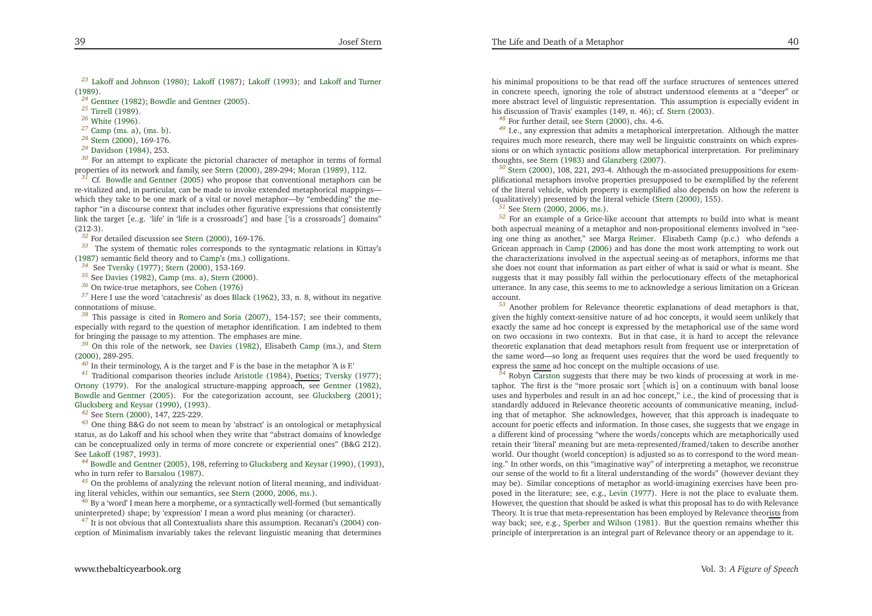<span id="page-20-31"></span><span id="page-20-24"></span><span id="page-20-23"></span><span id="page-20-22"></span><span id="page-20-21"></span><span id="page-20-20"></span><span id="page-20-19"></span><span id="page-20-18"></span><span id="page-20-17"></span><span id="page-20-16"></span>*[23](#page-7-2)* Lakoff and [Johnson](#page-21-30) [\(1980](#page-21-30)); [Lakoff](#page-21-31) [\(1987\)](#page-21-31); [Lakoff](#page-21-32) [\(1993](#page-21-32)); and [Lakoff](#page-21-33) and Turner [\(1989](#page-21-33)).

<sup>[24](#page-7-3)</sup> [Gentner](#page-21-34) [\(1982](#page-21-34)); [Bowdle](#page-21-1) and Gentner [\(2005](#page-21-1)).

*[25](#page-7-4)* [Tirrell](#page-22-12) [\(1989\)](#page-22-12).

*[26](#page-7-5)* [White](#page-22-13) [\(1996](#page-22-13)).

*[27](#page-7-6)* [Camp](#page-21-21) [\(ms.](#page-21-21) a), [\(ms.](#page-21-35) b).

*[28](#page-7-7)* [Stern](#page-22-1) [\(2000](#page-22-1)), 169-176.

*[29](#page-7-8)* [Davidson](#page-21-19) [\(1984](#page-21-19)), 253.

*[30](#page-7-9)* For an attempt to explicate the <sup>p</sup>ictorial character of metaphor in terms of formalproperties of its network and family, see [Stern](#page-22-1) [\(2000](#page-22-1)), 289-294; [Moran](#page-21-20) [\(1989](#page-21-20)), 112.

*[31](#page-7-10)* $\frac{1}{2}$  Cf. Bowdle and [Gentner](#page-21-1) [\(2005](#page-21-1)) who propose that conventional metaphors can be re-vitalized and, in particular, can be made to invoke extended metaphorical mappings which they take to be one mark of <sup>a</sup> vital or novel metaphor—by "embedding" the metaphor "in <sup>a</sup> discourse context that includes other figurative expressions that consistently link the target [e..g. 'life' in 'life is <sup>a</sup> crossroads'] and base ['is <sup>a</sup> crossroads'] domains" (212-3).

<sup>[32](#page-7-11)</sup> For detailed discussion see [Stern](#page-22-1) [\(2000\)](#page-22-1), 169-176.

*[33](#page-7-12)* The system of thematic roles corresponds to the syntagmatic relations in Kittay's  $(1987)$  $(1987)$  semantic field theory and to [Camp](#page-21-21)'s (ms.) colligations.

*[34](#page-8-0)* See [Tversky](#page-22-14) [\(1977](#page-22-14)); [Stern](#page-22-1) [\(2000](#page-22-1)), 153-169.

<sup>[35](#page-8-1)</sup> See [Davies](#page-21-15) [\(1982](#page-21-15)), [Camp](#page-21-21) [\(ms.](#page-21-21) a), [Stern](#page-22-1) [\(2000](#page-22-1)).

*[36](#page-9-0)* On twice-true metaphors, see [Cohen](#page-21-36) [\(1976](#page-21-36))

*[37](#page-9-1)* Here <sup>I</sup> use the word 'catachresis' as does [Black](#page-21-0) [\(1962](#page-21-0)), 33, n. 8, without its negative connotations of misuse.

*[38](#page-9-2)* This passage is cited in [Romero](#page-22-15) and Soria [\(2007](#page-22-15)), 154-157; see their comments, especially with regard to the question of metaphor identification. <sup>I</sup> am indebted to themfor bringing the passage to my attention. The emphases are mine.

*[39](#page-10-0)* On this role of the network, see [Davies](#page-21-15) [\(1982](#page-21-15)), Elisabeth [Camp](#page-21-21) (ms.), and [Stern](#page-22-1)[\(2000](#page-22-1)), 289-295.

*[40](#page-11-0)* In their terminology, <sup>A</sup> is the target and <sup>F</sup> is the base in the metaphor 'A is F.'

*[41](#page-11-1)* Traditional comparison theories include [Aristotle](#page-21-37) [\(1984](#page-21-37)), Poetics; [Tversky](#page-22-14) [\(1977\)](#page-22-14); [Ortony](#page-21-38) [\(1979](#page-21-38)). For the analogical structure-mapping approach, see [Gentner](#page-21-34) [\(1982](#page-21-34)), [Bowdle](#page-21-1) and Gentner [\(2005](#page-21-1)). For the categorization account, see [Glucksberg](#page-21-39) [\(2001\)](#page-21-39); [Glucksberg](#page-21-40) and Keysar [\(1990](#page-21-40)), [\(1993\)](#page-21-41).

*[42](#page-11-2)* See [Stern](#page-22-1) [\(2000](#page-22-1)), 147, 225-229.

*[43](#page-11-3)* One thing B&G do not seem to mean by 'abstract' is an ontological or metaphysical status, as do Lakoff and his school when they write that "abstract domains of knowledge can be conceptualized only in terms of more concrete or experiential ones" (B&G 212). See [Lakoff](#page-21-31) [\(1987](#page-21-31), [1993](#page-21-32)).

*[44](#page-11-4)* Bowdle and [Gentner](#page-21-1) [\(2005](#page-21-1)), 198, referring to [Glucksberg](#page-21-40) and Keysar [\(1990](#page-21-40)), [\(1993](#page-21-41)), who in turn refer to [Barsalou](#page-21-42) [\(1987](#page-21-42)).

*[45](#page-12-0)* On the problems of analyzing the relevant notion of literal meaning, and individuating literal vehicles, within our semantics, see [Stern](#page-22-1) [\(2000](#page-22-1), [2006](#page-22-16), [ms.](#page-22-17)).

*[46](#page-13-0)* By <sup>a</sup> 'word' <sup>I</sup> mean here <sup>a</sup> morpheme, or <sup>a</sup> syntactically well-formed (but semanticallyuninterpreted) shape; by 'expression' <sup>I</sup> mean <sup>a</sup> word <sup>p</sup>lus meaning (or character).

<sup>[47](#page-13-1)</sup> It is not obvious that all Contextualists share this assumption. Recanati's [\(2004](#page-22-18)) conception of Minimalism invariably takes the relevant linguistic meaning that determines <span id="page-20-30"></span><span id="page-20-29"></span><span id="page-20-28"></span><span id="page-20-27"></span><span id="page-20-26"></span><span id="page-20-25"></span><span id="page-20-15"></span><span id="page-20-14"></span><span id="page-20-13"></span><span id="page-20-12"></span><span id="page-20-11"></span><span id="page-20-10"></span><span id="page-20-9"></span><span id="page-20-8"></span><span id="page-20-7"></span><span id="page-20-6"></span><span id="page-20-5"></span><span id="page-20-4"></span><span id="page-20-3"></span><span id="page-20-2"></span><span id="page-20-1"></span><span id="page-20-0"></span>his minimal propositions to be that read off the surface structures of sentences uttered in concrete speech, ignoring the role of abstract understood elements at <sup>a</sup> "deeper" or more abstract level of linguistic representation. This assumption is especially evident inhis discussion of Travis' examples (149, n. 46); cf. [Stern](#page-22-19) [\(2003](#page-22-19)).

*[48](#page-14-0)* For further detail, see [Stern](#page-22-1) [\(2000](#page-22-1)), chs. 4-6.

*[49](#page-14-1)* I.e., any expression that admits <sup>a</sup> metaphorical interpretation. Although the matter requires much more research, there may well be linguistic constraints on which expressions or on which syntactic positions allow metaphorical interpretation. For preliminarythoughts, see [Stern](#page-22-20) [\(1983](#page-22-20)) and [Glanzberg](#page-21-43) [\(2007](#page-21-43)).

*[50](#page-15-0)* [Stern](#page-22-1) [\(2000](#page-22-1)), 108, 221, 293-4. Although the m-associated presuppositions for exem<sup>p</sup>lificational metaphors involve properties presupposed to be exemplified by the referent of the literal vehicle, which property is exemplified also depends on how the referent is(qualitatively) presented by the literal vehicle [\(Stern](#page-22-1) [\(2000](#page-22-1)), 155).

*[51](#page-15-1)* See [Stern](#page-22-1) [\(2000](#page-22-1), [2006](#page-22-16), [ms.](#page-22-17)).

*[52](#page-16-0)* For an example of <sup>a</sup> Grice-like account that attempts to build into what is meant both aspectual meaning of <sup>a</sup> metaphor and non-propositional elements involved in "seeing one thing as another," see Marga [Reimer](#page-22-21). Elisabeth Camp (p.c.) who defends <sup>a</sup> Gricean approach in [Camp](#page-21-44) [\(2006](#page-21-44)) and has done the most work attempting to work out the characterizations involved in the aspectual seeing-as of metaphors, informs me that she does not count that information as par<sup>t</sup> either of what is said or what is meant. She suggests that it may possibly fall within the perlocutionary effects of the metaphorical utterance. In any case, this seems to me to acknowledge <sup>a</sup> serious limitation on <sup>a</sup> Griceanaccount.

 *[53](#page-16-1)* Another problem for Relevance theoretic explanations of dead metaphors is that, <sup>g</sup>iven the highly context-sensitive nature of ad hoc concepts, it would seem unlikely that exactly the same ad hoc concep<sup>t</sup> is expressed by the metaphorical use of the same word on two occasions in two contexts. But in that case, it is hard to accep<sup>t</sup> the relevance theoretic explanation that dead metaphors result from frequent use or interpretation of the same word—so long as frequent uses requires that the word be used frequently to express the same ad hoc concept on the multiple occasions of use.

*[54](#page-16-2)* Robyn [Carston](#page-21-45) suggests that there may be two kinds of processing at work in metaphor. The first is the "more prosaic sort [which is] on <sup>a</sup> continuum with banal loose uses and hyperboles and result in an ad hoc concept," i.e., the kind of processing that is standardly adduced in Relevance theoretic accounts of communicative meaning, including that of metaphor. She acknowledges, however, that this approach is inadequate to account for poetic effects and information. In those cases, she suggests that we engage in <sup>a</sup> different kind of processing "where the words/concepts which are metaphorically used retain their 'literal' meaning but are meta-represented/framed/taken to describe another world. Our thought (world conception) is adjusted so as to correspond to the word meaning." In other words, on this "imaginative way" of interpreting <sup>a</sup> metaphor, we reconstrue our sense of the world to fit <sup>a</sup> literal understanding of the words" (however deviant they may be). Similar conceptions of metaphor as world-imagining exercises have been proposed in the literature; see, e.g., [Levin](#page-21-46) [\(1977](#page-21-46)). Here is not the <sup>p</sup>lace to evaluate them. However, the question that should be asked is what this proposal has to do with RelevanceTheory. It is true that meta-representation has been employed by Relevance theor<u>ists</u> from way back; see, e.g., [Sperber](#page-22-22) and Wilson [\(1981](#page-22-22)). But the question remains whether this principle of interpretation is an integral par<sup>t</sup> of Relevance theory or an appendage to it.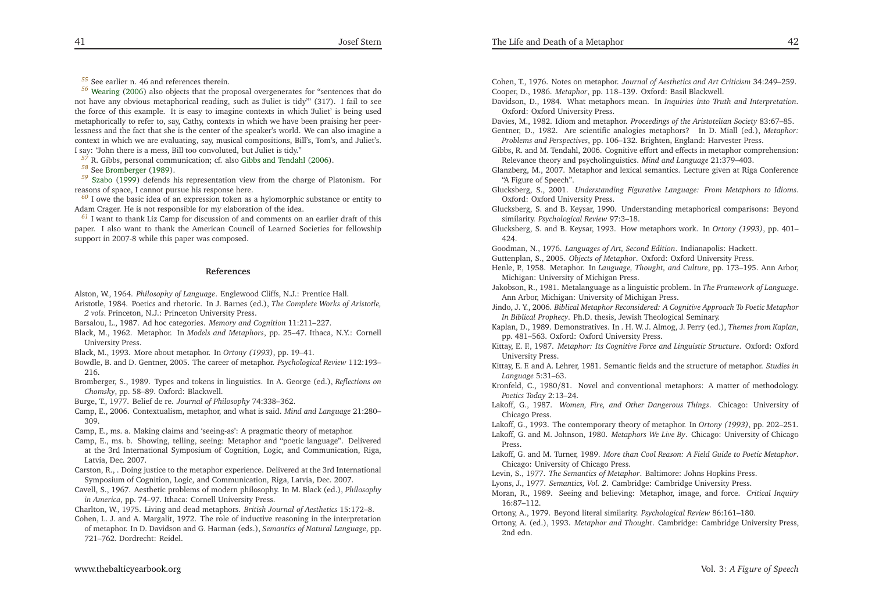<span id="page-21-48"></span><span id="page-21-46"></span><span id="page-21-45"></span><span id="page-21-44"></span><span id="page-21-38"></span><span id="page-21-35"></span><span id="page-21-33"></span><span id="page-21-32"></span><span id="page-21-31"></span><span id="page-21-30"></span><span id="page-21-29"></span><span id="page-21-28"></span><span id="page-21-25"></span><span id="page-21-24"></span><span id="page-21-23"></span><span id="page-21-21"></span><span id="page-21-20"></span><span id="page-21-18"></span><span id="page-21-13"></span><span id="page-21-4"></span><span id="page-21-2"></span><span id="page-21-1"></span>*[55](#page-16-3)* See earlier n. 46 and references therein.

*[56](#page-16-4)* [Wearing](#page-22-3) [\(2006](#page-22-3)) also objects that the proposa<sup>l</sup> overgenerates for "sentences that do not have any obvious metaphorical reading, such as 'Juliet is tidy"' (317). <sup>I</sup> fail to see the force of this example. It is easy to imagine contexts in which 'Juliet' is being used metaphorically to refer to, say, Cathy, contexts in which we have been praising her peerlessness and the fact that she is the center of the speaker's world. We can also imagine <sup>a</sup> context in which we are evaluating, say, musical compositions, Bill's, Tom's, and Juliet's. <sup>I</sup> say: "John there is <sup>a</sup> mess, Bill too convoluted, but Juliet is tidy."

*[57](#page-17-0)* R. Gibbs, personal communication; cf. also Gibbs and [Tendahl](#page-21-47) [\(2006](#page-21-47)).

*[58](#page-17-1)* See [Bromberger](#page-21-48) [\(1989](#page-21-48)).

*[59](#page-17-2)* [Szabo](#page-22-4) [\(1999](#page-22-4)) defends his representation view from the charge of Platonism. For reasons of space, <sup>I</sup> cannot pursue his response here.

*[60](#page-17-3)* <sup>I</sup> owe the basic idea of an expression token as <sup>a</sup> hylomorphic substance or entity toAdam Crager. He is not responsible for my elaboration of the idea.

*[61](#page-19-22)* <sup>I</sup> want to thank Liz Camp for discussion of and comments on an earlier draft of this paper. <sup>I</sup> also want to thank the American Council of Learned Societies for fellowshipsuppor<sup>t</sup> in 2007-8 while this paper was composed.

#### **References**

Alston, W., 1964. *Philosophy of Language*. Englewood Cliffs, N.J.: Prentice Hall.

Aristotle, 1984. Poetics and rhetoric. In J. Barnes (ed.), *The Complete Works of Aristotle, <sup>2</sup> vols*. Princeton, N.J.: Princeton University Press.

Barsalou, L., 1987. Ad hoc categories. *Memory and Cognition* 11:211–227.

Black, M., 1962. Metaphor. In *Models and Metaphors*, pp. 25–47. Ithaca, N.Y.: Cornell University Press.

Black, M., 1993. More about metaphor. In *Ortony (1993)*, pp. 19–41.

Bowdle, B. and D. Gentner, 2005. The career of metaphor. *Psychological Review* 112:193– 216.

 Bromberger, S., 1989. Types and tokens in linguistics. In A. George (ed.), *Reflections onChomsky*, pp. 58–89. Oxford: Blackwell.

Burge, T., 1977. Belief de re. *Journal of Philosophy* 74:338–362.

Camp, E., 2006. Contextualism, metaphor, and what is said. *Mind and Language* 21:280–309.

Camp, E., ms. a. Making claims and 'seeing-as': <sup>A</sup> pragmatic theory of metaphor.

Camp, E., ms. b. Showing, telling, seeing: Metaphor and "poetic language". Delivered at the 3rd International Symposium of Cognition, Logic, and Communication, Riga, Latvia, Dec. 2007.

Carston, R., . Doing justice to the metaphor experience. Delivered at the 3rd InternationalSymposium of Cognition, Logic, and Communication, Riga, Latvia, Dec. 2007.

Cavell, S., 1967. Aesthetic problems of modern <sup>p</sup>hilosophy. In M. Black (ed.), *Philosophyin America*, pp. 74–97. Ithaca: Cornell University Press.

Charlton, W., 1975. Living and dead metaphors. *British Journal of Aesthetics* 15:172–8.

Cohen, L. J. and A. Margalit, 1972. The role of inductive reasoning in the interpretation of metaphor. In D. Davidson and G. Harman (eds.), *Semantics of Natural Language*, pp. 721–762. Dordrecht: Reidel.

<span id="page-21-47"></span><span id="page-21-43"></span><span id="page-21-42"></span><span id="page-21-41"></span><span id="page-21-40"></span><span id="page-21-39"></span><span id="page-21-37"></span><span id="page-21-36"></span><span id="page-21-34"></span><span id="page-21-27"></span><span id="page-21-26"></span><span id="page-21-22"></span><span id="page-21-19"></span><span id="page-21-17"></span><span id="page-21-16"></span><span id="page-21-15"></span><span id="page-21-14"></span><span id="page-21-12"></span><span id="page-21-11"></span><span id="page-21-10"></span><span id="page-21-9"></span><span id="page-21-8"></span><span id="page-21-7"></span><span id="page-21-6"></span><span id="page-21-5"></span><span id="page-21-3"></span><span id="page-21-0"></span>Cohen, T., 1976. Notes on metaphor. *Journal of Aesthetics and Art Criticism* 34:249–259. Cooper, D., 1986. *Metaphor*, pp. 118–139. Oxford: Basil Blackwell.

Davidson, D., 1984. What metaphors mean. In *Inquiries into Truth and Interpretation*. Oxford: Oxford University Press.

Davies, M., 1982. Idiom and metaphor. *Proceedings of the Aristotelian Society* 83:67–85.

- Gentner, D., 1982. Are scientific analogies metaphors? In D. Miall (ed.), *Metaphor:Problems and Perspectives*, pp. 106–132. Brighten, England: Harvester Press.
- Gibbs, R. and M. Tendahl, 2006. Cognitive effort and effects in metaphor comprehension: Relevance theory and psycholinguistics. *Mind and Language* 21:379–403.
- Glanzberg, M., 2007. Metaphor and lexical semantics. Lecture <sup>g</sup>iven at Riga Conference"A Figure of Speech".
- Glucksberg, S., 2001. *Understanding Figurative Language: From Metaphors to Idioms*. Oxford: Oxford University Press.
- Glucksberg, S. and B. Keysar, 1990. Understanding metaphorical comparisons: Beyondsimilarity. *Psychological Review* 97:3–18.
- Glucksberg, S. and B. Keysar, 1993. How metaphors work. In *Ortony (1993)*, pp. 401– 424.

Goodman, N., 1976. *Languages of Art, Second Edition*. Indianapolis: Hackett.

- Guttenplan, S., 2005. *Objects of Metaphor*. Oxford: Oxford University Press.
- Henle, P., 1958. Metaphor. In *Language, Thought, and Culture*, pp. 173–195. Ann Arbor, Michigan: University of Michigan Press.
- Jakobson, R., 1981. Metalanguage as <sup>a</sup> linguistic problem. In *The Framework of Language*. Ann Arbor, Michigan: University of Michigan Press.
- Jindo, J. Y., 2006. *Biblical Metaphor Reconsidered: <sup>A</sup> Cognitive Approach To Poetic MetaphorIn Biblical Prophecy*. Ph.D. thesis, Jewish Theological Seminary.
- Kaplan, D., 1989. Demonstratives. In . H. W. J. Almog, J. Perry (ed.), *Themes from Kaplan*, pp. 481–563. Oxford: Oxford University Press.
- Kittay, E. F., 1987. *Metaphor: Its Cognitive Force and Linguistic Structure*. Oxford: OxfordUniversity Press.
- Kittay, E. F. and A. Lehrer, 1981. Semantic fields and the structure of metaphor. *Studies inLanguage* 5:31–63.
- Kronfeld, C., 1980/81. Novel and conventional metaphors: <sup>A</sup> matter of methodology. *Poetics Today* 2:13–24.
- Lakoff, G., 1987. *Women, Fire, and Other Dangerous Things*. Chicago: University ofChicago Press.
- Lakoff, G., 1993. The contemporary theory of metaphor. In *Ortony (1993)*, pp. 202–251.

Lakoff, G. and M. Johnson, 1980. *Metaphors We Live By*. Chicago: University of ChicagoPress.

- Lakoff, G. and M. Turner, 1989. *More than Cool Reason: <sup>A</sup> Field Guide to Poetic Metaphor*. Chicago: University of Chicago Press.
- Levin, S., 1977. *The Semantics of Metaphor*. Baltimore: Johns Hopkins Press.
- Lyons, J., 1977. *Semantics, Vol. <sup>2</sup>*. Cambridge: Cambridge University Press.
- Moran, R., 1989. Seeing and believing: Metaphor, image, and force. *Critical Inquiry* 16:87–112.
- Ortony, A., 1979. Beyond literal similarity. *Psychological Review* 86:161–180.
- Ortony, A. (ed.), 1993. *Metaphor and Thought*. Cambridge: Cambridge University Press, 2nd edn.